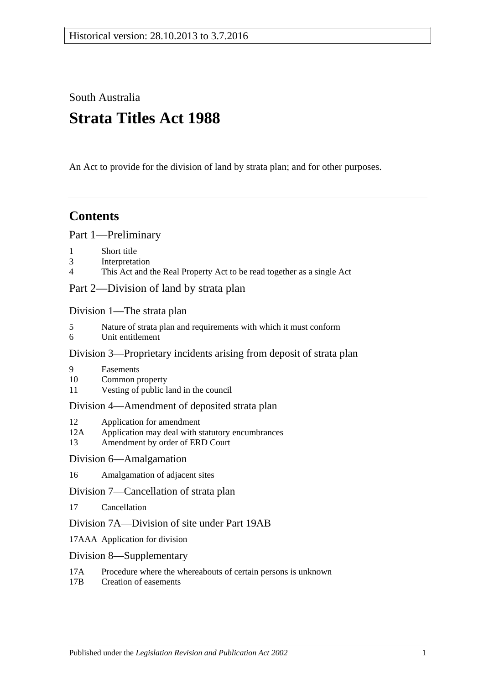South Australia

# **Strata Titles Act 1988**

An Act to provide for the division of land by strata plan; and for other purposes.

## **Contents**

[Part 1—Preliminary](#page-3-0)

- 1 [Short title](#page-3-1)
- 3 [Interpretation](#page-3-2)
- 4 [This Act and the Real Property Act to be read together as a single Act](#page-6-0)

[Part 2—Division of land by strata plan](#page-6-1)

[Division 1—The strata plan](#page-6-2)

- 5 [Nature of strata plan and requirements with which it must conform](#page-6-3)
- 6 [Unit entitlement](#page-7-0)

## [Division 3—Proprietary incidents arising from deposit of strata plan](#page-7-1)

- 9 [Easements](#page-7-2)
- 10 [Common property](#page-8-0)
- 11 [Vesting of public land in the council](#page-8-1)

## [Division 4—Amendment of deposited strata plan](#page-8-2)

- 12 [Application for amendment](#page-8-3)
- 12A [Application may deal with statutory encumbrances](#page-11-0)
- 13 [Amendment by order of ERD Court](#page-11-1)

## [Division 6—Amalgamation](#page-12-0)

16 [Amalgamation of adjacent sites](#page-12-1)

## [Division 7—Cancellation of strata plan](#page-13-0)

17 [Cancellation](#page-13-1)

## [Division 7A—Division of site under Part 19AB](#page-15-0)

- 17AAA [Application for division](#page-15-1)
- [Division 8—Supplementary](#page-15-2)
- 17A [Procedure where the whereabouts of certain persons is unknown](#page-15-3)
- 17B [Creation of easements](#page-16-0)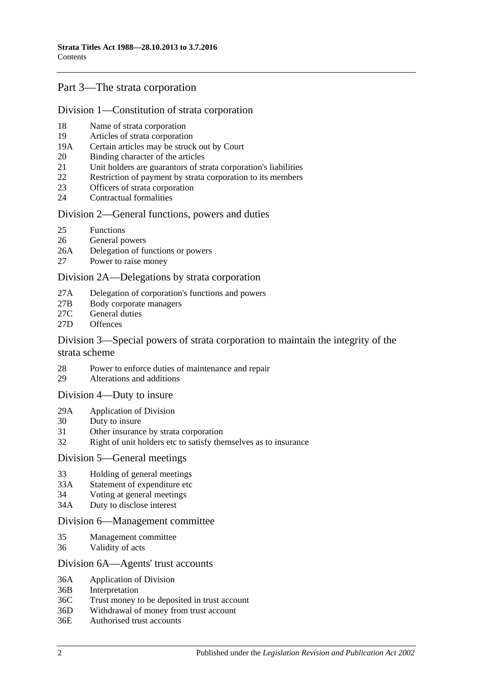## [Part 3—The strata corporation](#page-17-0)

### [Division 1—Constitution of strata corporation](#page-17-1)

- 18 [Name of strata corporation](#page-17-2)
- 19 [Articles of strata corporation](#page-17-3)
- 19A [Certain articles may be struck out by Court](#page-19-0)
- 20 [Binding character of the articles](#page-19-1)
- 21 [Unit holders are guarantors of strata corporation's liabilities](#page-19-2)
- 22 [Restriction of payment by strata corporation to its members](#page-19-3)
- 23 [Officers of strata corporation](#page-20-0)
- 24 [Contractual formalities](#page-20-1)

#### [Division 2—General functions, powers and duties](#page-20-2)

- 25 [Functions](#page-20-3)
- 26 [General powers](#page-21-0)
- 26A [Delegation of functions or powers](#page-21-1)
- 27 [Power to raise money](#page-21-2)

### [Division 2A—Delegations by strata corporation](#page-22-0)

- 27A [Delegation of corporation's functions and powers](#page-22-1)
- 27B [Body corporate managers](#page-23-0)
- 27C [General duties](#page-25-0)
- 27D [Offences](#page-25-1)

### [Division 3—Special powers of strata corporation to maintain the integrity of the](#page-26-0)  [strata scheme](#page-26-0)

- 28 [Power to enforce duties of maintenance and repair](#page-26-1)
- 29 [Alterations and additions](#page-27-0)

### [Division 4—Duty to insure](#page-27-1)

- 29A [Application of Division](#page-27-2)
- 30 [Duty to insure](#page-28-0)
- 31 [Other insurance by strata corporation](#page-28-1)
- 32 [Right of unit holders etc to satisfy themselves as to insurance](#page-28-2)

### [Division 5—General meetings](#page-29-0)

- 33 [Holding of general meetings](#page-29-1)
- 33A [Statement of expenditure etc](#page-30-0)
- 34 [Voting at general meetings](#page-31-0)
- 34A [Duty to disclose interest](#page-33-0)

### [Division 6—Management committee](#page-34-0)

- 35 [Management committee](#page-34-1)
- 36 [Validity of acts](#page-35-0)

#### [Division 6A—Agents' trust accounts](#page-35-1)

- 36A [Application of](#page-35-2) Division
- 36B [Interpretation](#page-35-3)
- 36C [Trust money to be deposited in trust account](#page-35-4)
- 36D [Withdrawal of money from trust account](#page-36-0)
- 36E [Authorised trust accounts](#page-36-1)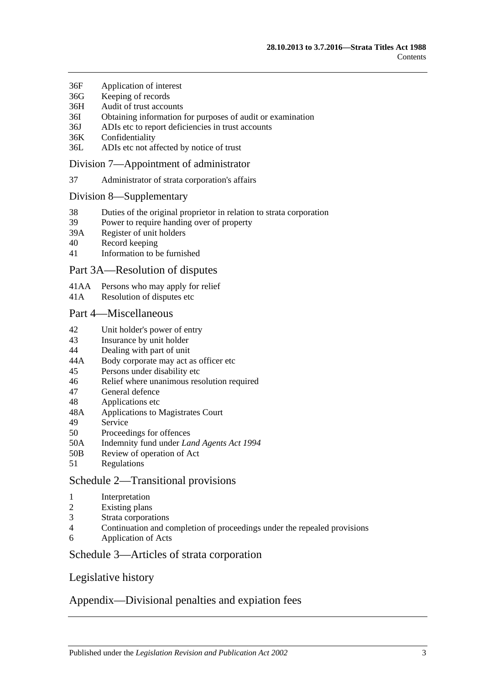- 36F [Application of interest](#page-36-2)
- 36G [Keeping of](#page-36-3) records
- 36H [Audit of trust accounts](#page-37-0)
- 36I [Obtaining information for purposes of audit or examination](#page-37-1)
- 36J [ADIs etc to report deficiencies in trust accounts](#page-37-2)
- 36K [Confidentiality](#page-38-0)
- 36L [ADIs etc not affected by notice of trust](#page-38-1)

### [Division 7—Appointment of administrator](#page-38-2)

37 [Administrator of strata corporation's affairs](#page-38-3)

#### [Division 8—Supplementary](#page-39-0)

- 38 [Duties of the original proprietor in relation to strata corporation](#page-39-1)
- 39 [Power to require handing over of property](#page-39-2)
- 39A [Register of unit holders](#page-39-3)
- 40 [Record keeping](#page-40-0)
- 41 [Information to be furnished](#page-40-1)

### [Part 3A—Resolution of disputes](#page-41-0)

- 41AA [Persons who may apply for relief](#page-41-1)
- 41A [Resolution of disputes etc](#page-42-0)

#### [Part 4—Miscellaneous](#page-44-0)

- 42 [Unit holder's power of entry](#page-44-1)
- 43 [Insurance by unit holder](#page-45-0)
- 44 [Dealing with part of unit](#page-45-1)
- 44A [Body corporate may act as officer etc](#page-46-0)
- 45 [Persons under disability etc](#page-46-1)
- 46 [Relief where unanimous resolution required](#page-47-0)
- 47 [General defence](#page-47-1)
- 48 [Applications etc](#page-47-2)
- 48A [Applications to Magistrates Court](#page-47-3)
- 49 [Service](#page-48-0)<br>50 Proceed
- [Proceedings for offences](#page-48-1)
- 50A [Indemnity fund under](#page-48-2) *Land Agents Act 1994*
- 50B [Review of operation of Act](#page-49-0)
- 51 [Regulations](#page-49-1)

## [Schedule 2—Transitional provisions](#page-49-2)

- 1 [Interpretation](#page-49-3)
- 2 [Existing plans](#page-49-4)
- 3 [Strata corporations](#page-49-5)
- 4 [Continuation and completion of proceedings under the repealed provisions](#page-50-0)
- 6 [Application of Acts](#page-50-1)

## [Schedule 3—Articles of strata corporation](#page-50-2)

## [Legislative history](#page-52-0)

## [Appendix—Divisional penalties and expiation fees](#page-61-0)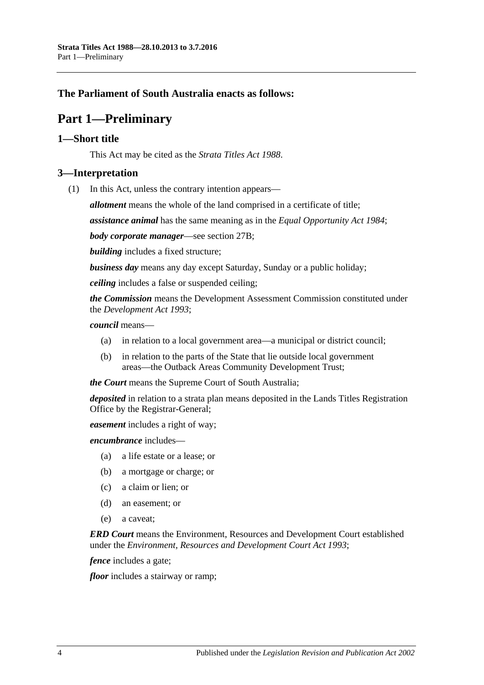## <span id="page-3-0"></span>**The Parliament of South Australia enacts as follows:**

## **Part 1—Preliminary**

### <span id="page-3-1"></span>**1—Short title**

This Act may be cited as the *Strata Titles Act 1988*.

### <span id="page-3-2"></span>**3—Interpretation**

(1) In this Act, unless the contrary intention appears—

*allotment* means the whole of the land comprised in a certificate of title;

*assistance animal* has the same meaning as in the *[Equal Opportunity Act](http://www.legislation.sa.gov.au/index.aspx?action=legref&type=act&legtitle=Equal%20Opportunity%20Act%201984) 1984*;

*body corporate manager*—see [section](#page-23-0) 27B;

*building* includes a fixed structure;

*business day* means any day except Saturday, Sunday or a public holiday;

*ceiling* includes a false or suspended ceiling;

*the Commission* means the Development Assessment Commission constituted under the *[Development Act](http://www.legislation.sa.gov.au/index.aspx?action=legref&type=act&legtitle=Development%20Act%201993) 1993*;

#### *council* means—

- (a) in relation to a local government area—a municipal or district council;
- (b) in relation to the parts of the State that lie outside local government areas—the Outback Areas Community Development Trust;

*the Court* means the Supreme Court of South Australia;

*deposited* in relation to a strata plan means deposited in the Lands Titles Registration Office by the Registrar-General;

*easement* includes a right of way;

*encumbrance* includes—

- (a) a life estate or a lease; or
- (b) a mortgage or charge; or
- (c) a claim or lien; or
- (d) an easement; or
- (e) a caveat;

*ERD Court* means the Environment, Resources and Development Court established under the *[Environment, Resources and Development Court Act](http://www.legislation.sa.gov.au/index.aspx?action=legref&type=act&legtitle=Environment%20Resources%20and%20Development%20Court%20Act%201993) 1993*;

*fence* includes a gate;

*floor* includes a stairway or ramp;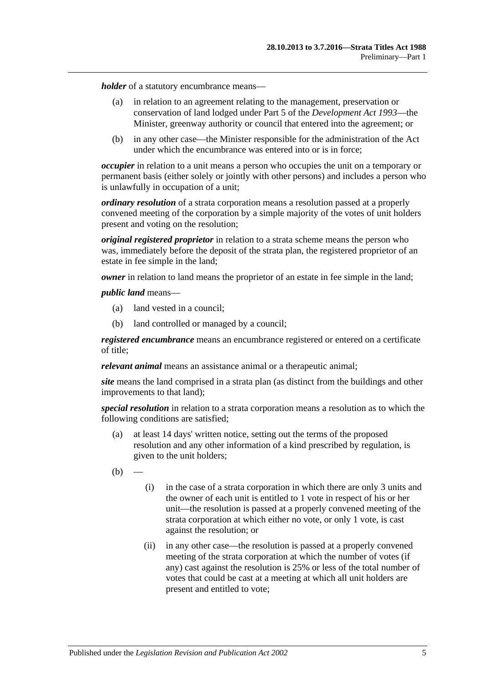*holder* of a statutory encumbrance means—

- (a) in relation to an agreement relating to the management, preservation or conservation of land lodged under Part 5 of the *[Development Act](http://www.legislation.sa.gov.au/index.aspx?action=legref&type=act&legtitle=Development%20Act%201993) 1993*—the Minister, greenway authority or council that entered into the agreement; or
- (b) in any other case—the Minister responsible for the administration of the Act under which the encumbrance was entered into or is in force;

*occupier* in relation to a unit means a person who occupies the unit on a temporary or permanent basis (either solely or jointly with other persons) and includes a person who is unlawfully in occupation of a unit;

*ordinary resolution* of a strata corporation means a resolution passed at a properly convened meeting of the corporation by a simple majority of the votes of unit holders present and voting on the resolution;

*original registered proprietor* in relation to a strata scheme means the person who was, immediately before the deposit of the strata plan, the registered proprietor of an estate in fee simple in the land;

*owner* in relation to land means the proprietor of an estate in fee simple in the land;

*public land* means—

- (a) land vested in a council;
- (b) land controlled or managed by a council;

*registered encumbrance* means an encumbrance registered or entered on a certificate of title;

*relevant animal* means an assistance animal or a therapeutic animal;

*site* means the land comprised in a strata plan (as distinct from the buildings and other improvements to that land);

*special resolution* in relation to a strata corporation means a resolution as to which the following conditions are satisfied;

- (a) at least 14 days' written notice, setting out the terms of the proposed resolution and any other information of a kind prescribed by regulation, is given to the unit holders;
- $(b)$
- (i) in the case of a strata corporation in which there are only 3 units and the owner of each unit is entitled to 1 vote in respect of his or her unit—the resolution is passed at a properly convened meeting of the strata corporation at which either no vote, or only 1 vote, is cast against the resolution; or
- (ii) in any other case—the resolution is passed at a properly convened meeting of the strata corporation at which the number of votes (if any) cast against the resolution is 25% or less of the total number of votes that could be cast at a meeting at which all unit holders are present and entitled to vote;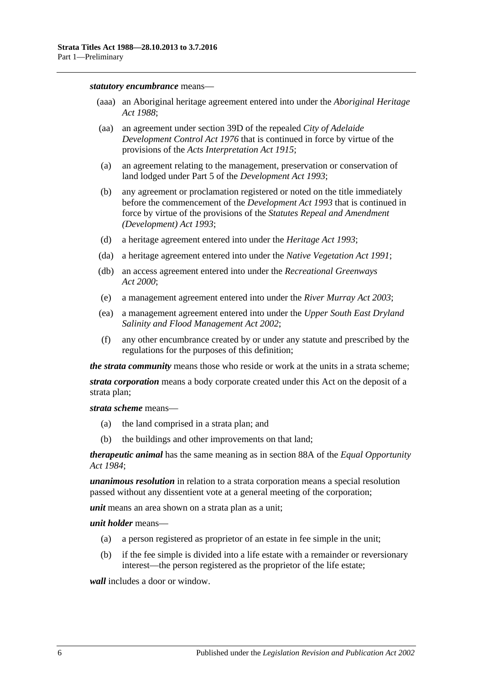#### *statutory encumbrance* means—

- (aaa) an Aboriginal heritage agreement entered into under the *[Aboriginal Heritage](http://www.legislation.sa.gov.au/index.aspx?action=legref&type=act&legtitle=Aboriginal%20Heritage%20Act%201988)  Act [1988](http://www.legislation.sa.gov.au/index.aspx?action=legref&type=act&legtitle=Aboriginal%20Heritage%20Act%201988)*;
- (aa) an agreement under section 39D of the repealed *[City of Adelaide](http://www.legislation.sa.gov.au/index.aspx?action=legref&type=act&legtitle=City%20of%20Adelaide%20Development%20Control%20Act%201976)  [Development Control Act](http://www.legislation.sa.gov.au/index.aspx?action=legref&type=act&legtitle=City%20of%20Adelaide%20Development%20Control%20Act%201976) 1976* that is continued in force by virtue of the provisions of the *[Acts Interpretation Act](http://www.legislation.sa.gov.au/index.aspx?action=legref&type=act&legtitle=Acts%20Interpretation%20Act%201915) 1915*;
- (a) an agreement relating to the management, preservation or conservation of land lodged under Part 5 of the *[Development Act](http://www.legislation.sa.gov.au/index.aspx?action=legref&type=act&legtitle=Development%20Act%201993) 1993*;
- (b) any agreement or proclamation registered or noted on the title immediately before the commencement of the *[Development Act](http://www.legislation.sa.gov.au/index.aspx?action=legref&type=act&legtitle=Development%20Act%201993) 1993* that is continued in force by virtue of the provisions of the *[Statutes Repeal and Amendment](http://www.legislation.sa.gov.au/index.aspx?action=legref&type=act&legtitle=Statutes%20Repeal%20and%20Amendment%20(Development)%20Act%201993)  [\(Development\) Act](http://www.legislation.sa.gov.au/index.aspx?action=legref&type=act&legtitle=Statutes%20Repeal%20and%20Amendment%20(Development)%20Act%201993) 1993*;
- (d) a heritage agreement entered into under the *[Heritage Act](http://www.legislation.sa.gov.au/index.aspx?action=legref&type=act&legtitle=Heritage%20Act%201993) 1993*;
- (da) a heritage agreement entered into under the *[Native Vegetation Act](http://www.legislation.sa.gov.au/index.aspx?action=legref&type=act&legtitle=Native%20Vegetation%20Act%201991) 1991*;
- (db) an access agreement entered into under the *[Recreational Greenways](http://www.legislation.sa.gov.au/index.aspx?action=legref&type=act&legtitle=Recreational%20Greenways%20Act%202000)  Act [2000](http://www.legislation.sa.gov.au/index.aspx?action=legref&type=act&legtitle=Recreational%20Greenways%20Act%202000)*;
- (e) a management agreement entered into under the *[River Murray Act](http://www.legislation.sa.gov.au/index.aspx?action=legref&type=act&legtitle=River%20Murray%20Act%202003) 2003*;
- (ea) a management agreement entered into under the *[Upper South East Dryland](http://www.legislation.sa.gov.au/index.aspx?action=legref&type=act&legtitle=Upper%20South%20East%20Dryland%20Salinity%20and%20Flood%20Management%20Act%202002)  [Salinity and Flood Management Act](http://www.legislation.sa.gov.au/index.aspx?action=legref&type=act&legtitle=Upper%20South%20East%20Dryland%20Salinity%20and%20Flood%20Management%20Act%202002) 2002*;
- (f) any other encumbrance created by or under any statute and prescribed by the regulations for the purposes of this definition;

*the strata community* means those who reside or work at the units in a strata scheme;

*strata corporation* means a body corporate created under this Act on the deposit of a strata plan;

*strata scheme* means—

- (a) the land comprised in a strata plan; and
- (b) the buildings and other improvements on that land;

*therapeutic animal* has the same meaning as in section 88A of the *[Equal Opportunity](http://www.legislation.sa.gov.au/index.aspx?action=legref&type=act&legtitle=Equal%20Opportunity%20Act%201984)  Act [1984](http://www.legislation.sa.gov.au/index.aspx?action=legref&type=act&legtitle=Equal%20Opportunity%20Act%201984)*;

*unanimous resolution* in relation to a strata corporation means a special resolution passed without any dissentient vote at a general meeting of the corporation;

*unit* means an area shown on a strata plan as a unit;

*unit holder* means—

- (a) a person registered as proprietor of an estate in fee simple in the unit;
- (b) if the fee simple is divided into a life estate with a remainder or reversionary interest—the person registered as the proprietor of the life estate;

*wall* includes a door or window.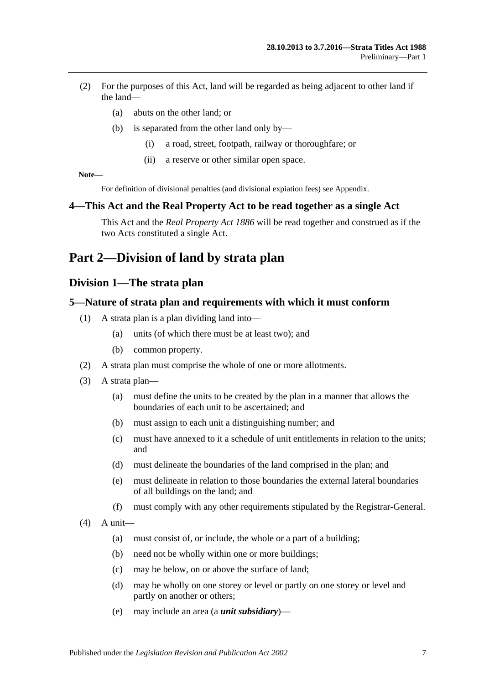- (2) For the purposes of this Act, land will be regarded as being adjacent to other land if the land—
	- (a) abuts on the other land; or
	- (b) is separated from the other land only by—
		- (i) a road, street, footpath, railway or thoroughfare; or
		- (ii) a reserve or other similar open space.

**Note—**

For definition of divisional penalties (and divisional expiation fees) see Appendix.

### <span id="page-6-0"></span>**4—This Act and the Real Property Act to be read together as a single Act**

This Act and the *[Real Property Act](http://www.legislation.sa.gov.au/index.aspx?action=legref&type=act&legtitle=Real%20Property%20Act%201886) 1886* will be read together and construed as if the two Acts constituted a single Act.

## <span id="page-6-2"></span><span id="page-6-1"></span>**Part 2—Division of land by strata plan**

## **Division 1—The strata plan**

### <span id="page-6-3"></span>**5—Nature of strata plan and requirements with which it must conform**

- (1) A strata plan is a plan dividing land into—
	- (a) units (of which there must be at least two); and
	- (b) common property.
- (2) A strata plan must comprise the whole of one or more allotments.
- (3) A strata plan—
	- (a) must define the units to be created by the plan in a manner that allows the boundaries of each unit to be ascertained; and
	- (b) must assign to each unit a distinguishing number; and
	- (c) must have annexed to it a schedule of unit entitlements in relation to the units; and
	- (d) must delineate the boundaries of the land comprised in the plan; and
	- (e) must delineate in relation to those boundaries the external lateral boundaries of all buildings on the land; and
	- (f) must comply with any other requirements stipulated by the Registrar-General.
- $(4)$  A unit—
	- (a) must consist of, or include, the whole or a part of a building;
	- (b) need not be wholly within one or more buildings;
	- (c) may be below, on or above the surface of land;
	- (d) may be wholly on one storey or level or partly on one storey or level and partly on another or others;
	- (e) may include an area (a *unit subsidiary*)—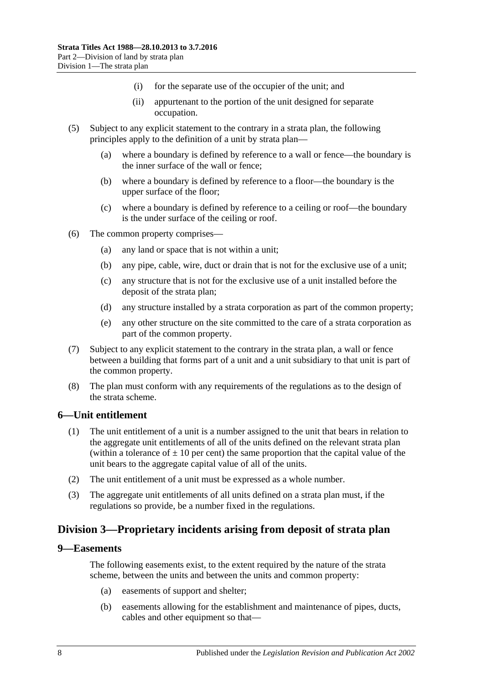- (i) for the separate use of the occupier of the unit; and
- (ii) appurtenant to the portion of the unit designed for separate occupation.
- (5) Subject to any explicit statement to the contrary in a strata plan, the following principles apply to the definition of a unit by strata plan—
	- (a) where a boundary is defined by reference to a wall or fence—the boundary is the inner surface of the wall or fence;
	- (b) where a boundary is defined by reference to a floor—the boundary is the upper surface of the floor;
	- (c) where a boundary is defined by reference to a ceiling or roof—the boundary is the under surface of the ceiling or roof.
- (6) The common property comprises—
	- (a) any land or space that is not within a unit;
	- (b) any pipe, cable, wire, duct or drain that is not for the exclusive use of a unit;
	- (c) any structure that is not for the exclusive use of a unit installed before the deposit of the strata plan;
	- (d) any structure installed by a strata corporation as part of the common property;
	- (e) any other structure on the site committed to the care of a strata corporation as part of the common property.
- (7) Subject to any explicit statement to the contrary in the strata plan, a wall or fence between a building that forms part of a unit and a unit subsidiary to that unit is part of the common property.
- (8) The plan must conform with any requirements of the regulations as to the design of the strata scheme.

#### <span id="page-7-0"></span>**6—Unit entitlement**

- (1) The unit entitlement of a unit is a number assigned to the unit that bears in relation to the aggregate unit entitlements of all of the units defined on the relevant strata plan (within a tolerance of  $\pm 10$  per cent) the same proportion that the capital value of the unit bears to the aggregate capital value of all of the units.
- (2) The unit entitlement of a unit must be expressed as a whole number.
- (3) The aggregate unit entitlements of all units defined on a strata plan must, if the regulations so provide, be a number fixed in the regulations.

## <span id="page-7-1"></span>**Division 3—Proprietary incidents arising from deposit of strata plan**

#### <span id="page-7-2"></span>**9—Easements**

The following easements exist, to the extent required by the nature of the strata scheme, between the units and between the units and common property:

- (a) easements of support and shelter;
- (b) easements allowing for the establishment and maintenance of pipes, ducts, cables and other equipment so that—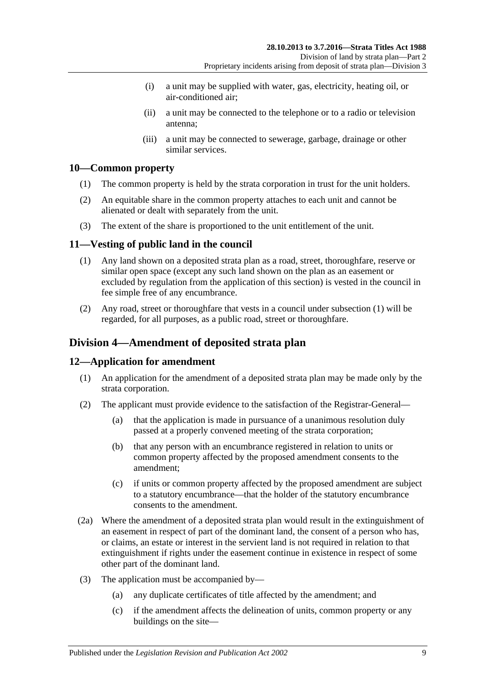- (i) a unit may be supplied with water, gas, electricity, heating oil, or air-conditioned air;
- (ii) a unit may be connected to the telephone or to a radio or television antenna;
- (iii) a unit may be connected to sewerage, garbage, drainage or other similar services.

## <span id="page-8-0"></span>**10—Common property**

- (1) The common property is held by the strata corporation in trust for the unit holders.
- (2) An equitable share in the common property attaches to each unit and cannot be alienated or dealt with separately from the unit.
- (3) The extent of the share is proportioned to the unit entitlement of the unit.

## <span id="page-8-4"></span><span id="page-8-1"></span>**11—Vesting of public land in the council**

- (1) Any land shown on a deposited strata plan as a road, street, thoroughfare, reserve or similar open space (except any such land shown on the plan as an easement or excluded by regulation from the application of this section) is vested in the council in fee simple free of any encumbrance.
- (2) Any road, street or thoroughfare that vests in a council under [subsection](#page-8-4) (1) will be regarded, for all purposes, as a public road, street or thoroughfare.

## <span id="page-8-2"></span>**Division 4—Amendment of deposited strata plan**

## <span id="page-8-3"></span>**12—Application for amendment**

- (1) An application for the amendment of a deposited strata plan may be made only by the strata corporation.
- (2) The applicant must provide evidence to the satisfaction of the Registrar-General—
	- (a) that the application is made in pursuance of a unanimous resolution duly passed at a properly convened meeting of the strata corporation;
	- (b) that any person with an encumbrance registered in relation to units or common property affected by the proposed amendment consents to the amendment;
	- (c) if units or common property affected by the proposed amendment are subject to a statutory encumbrance—that the holder of the statutory encumbrance consents to the amendment.
- (2a) Where the amendment of a deposited strata plan would result in the extinguishment of an easement in respect of part of the dominant land, the consent of a person who has, or claims, an estate or interest in the servient land is not required in relation to that extinguishment if rights under the easement continue in existence in respect of some other part of the dominant land.
- (3) The application must be accompanied by—
	- (a) any duplicate certificates of title affected by the amendment; and
	- (c) if the amendment affects the delineation of units, common property or any buildings on the site—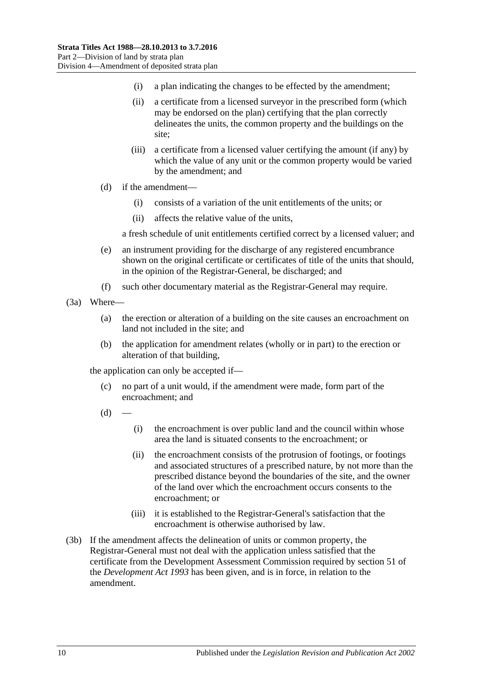- (i) a plan indicating the changes to be effected by the amendment;
- (ii) a certificate from a licensed surveyor in the prescribed form (which may be endorsed on the plan) certifying that the plan correctly delineates the units, the common property and the buildings on the site;
- (iii) a certificate from a licensed valuer certifying the amount (if any) by which the value of any unit or the common property would be varied by the amendment; and
- (d) if the amendment—
	- (i) consists of a variation of the unit entitlements of the units; or
	- (ii) affects the relative value of the units,

a fresh schedule of unit entitlements certified correct by a licensed valuer; and

- (e) an instrument providing for the discharge of any registered encumbrance shown on the original certificate or certificates of title of the units that should, in the opinion of the Registrar-General, be discharged; and
- (f) such other documentary material as the Registrar-General may require.

(3a) Where—

- (a) the erection or alteration of a building on the site causes an encroachment on land not included in the site; and
- (b) the application for amendment relates (wholly or in part) to the erection or alteration of that building,

the application can only be accepted if—

- (c) no part of a unit would, if the amendment were made, form part of the encroachment; and
- $(d)$
- (i) the encroachment is over public land and the council within whose area the land is situated consents to the encroachment; or
- (ii) the encroachment consists of the protrusion of footings, or footings and associated structures of a prescribed nature, by not more than the prescribed distance beyond the boundaries of the site, and the owner of the land over which the encroachment occurs consents to the encroachment; or
- (iii) it is established to the Registrar-General's satisfaction that the encroachment is otherwise authorised by law.
- (3b) If the amendment affects the delineation of units or common property, the Registrar-General must not deal with the application unless satisfied that the certificate from the Development Assessment Commission required by section 51 of the *[Development Act](http://www.legislation.sa.gov.au/index.aspx?action=legref&type=act&legtitle=Development%20Act%201993) 1993* has been given, and is in force, in relation to the amendment.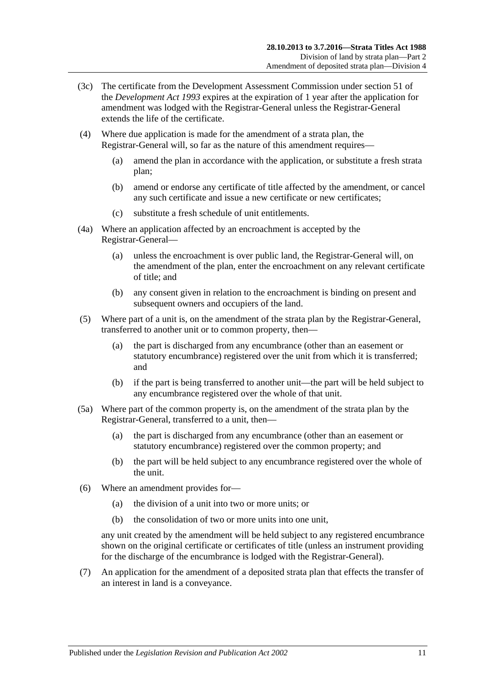- (3c) The certificate from the Development Assessment Commission under section 51 of the *[Development Act](http://www.legislation.sa.gov.au/index.aspx?action=legref&type=act&legtitle=Development%20Act%201993) 1993* expires at the expiration of 1 year after the application for amendment was lodged with the Registrar-General unless the Registrar-General extends the life of the certificate.
- (4) Where due application is made for the amendment of a strata plan, the Registrar-General will, so far as the nature of this amendment requires—
	- (a) amend the plan in accordance with the application, or substitute a fresh strata plan;
	- (b) amend or endorse any certificate of title affected by the amendment, or cancel any such certificate and issue a new certificate or new certificates;
	- (c) substitute a fresh schedule of unit entitlements.
- (4a) Where an application affected by an encroachment is accepted by the Registrar-General—
	- (a) unless the encroachment is over public land, the Registrar-General will, on the amendment of the plan, enter the encroachment on any relevant certificate of title; and
	- (b) any consent given in relation to the encroachment is binding on present and subsequent owners and occupiers of the land.
- (5) Where part of a unit is, on the amendment of the strata plan by the Registrar-General, transferred to another unit or to common property, then—
	- (a) the part is discharged from any encumbrance (other than an easement or statutory encumbrance) registered over the unit from which it is transferred; and
	- (b) if the part is being transferred to another unit—the part will be held subject to any encumbrance registered over the whole of that unit.
- (5a) Where part of the common property is, on the amendment of the strata plan by the Registrar-General, transferred to a unit, then—
	- (a) the part is discharged from any encumbrance (other than an easement or statutory encumbrance) registered over the common property; and
	- (b) the part will be held subject to any encumbrance registered over the whole of the unit.
- (6) Where an amendment provides for—
	- (a) the division of a unit into two or more units; or
	- (b) the consolidation of two or more units into one unit,

any unit created by the amendment will be held subject to any registered encumbrance shown on the original certificate or certificates of title (unless an instrument providing for the discharge of the encumbrance is lodged with the Registrar-General).

(7) An application for the amendment of a deposited strata plan that effects the transfer of an interest in land is a conveyance.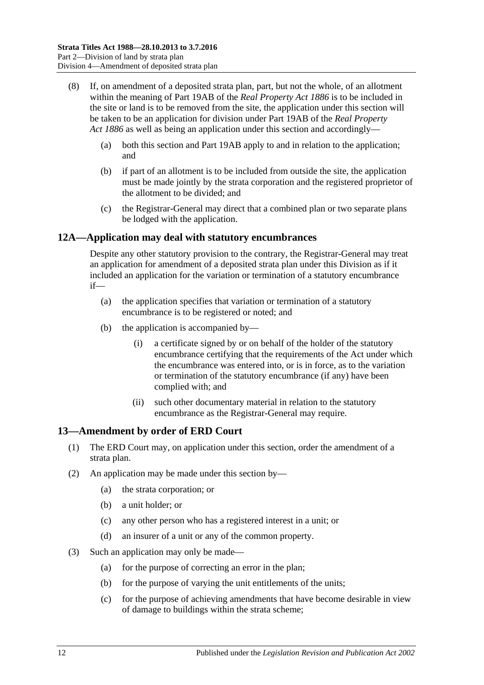- (8) If, on amendment of a deposited strata plan, part, but not the whole, of an allotment within the meaning of Part 19AB of the *[Real Property Act](http://www.legislation.sa.gov.au/index.aspx?action=legref&type=act&legtitle=Real%20Property%20Act%201886) 1886* is to be included in the site or land is to be removed from the site, the application under this section will be taken to be an application for division under Part 19AB of the *[Real Property](http://www.legislation.sa.gov.au/index.aspx?action=legref&type=act&legtitle=Real%20Property%20Act%201886)  Act [1886](http://www.legislation.sa.gov.au/index.aspx?action=legref&type=act&legtitle=Real%20Property%20Act%201886)* as well as being an application under this section and accordingly—
	- (a) both this section and Part 19AB apply to and in relation to the application; and
	- (b) if part of an allotment is to be included from outside the site, the application must be made jointly by the strata corporation and the registered proprietor of the allotment to be divided; and
	- (c) the Registrar-General may direct that a combined plan or two separate plans be lodged with the application.

## <span id="page-11-0"></span>**12A—Application may deal with statutory encumbrances**

Despite any other statutory provision to the contrary, the Registrar-General may treat an application for amendment of a deposited strata plan under this Division as if it included an application for the variation or termination of a statutory encumbrance if—

- (a) the application specifies that variation or termination of a statutory encumbrance is to be registered or noted; and
- (b) the application is accompanied by—
	- (i) a certificate signed by or on behalf of the holder of the statutory encumbrance certifying that the requirements of the Act under which the encumbrance was entered into, or is in force, as to the variation or termination of the statutory encumbrance (if any) have been complied with; and
	- (ii) such other documentary material in relation to the statutory encumbrance as the Registrar-General may require.

## <span id="page-11-1"></span>**13—Amendment by order of ERD Court**

- (1) The ERD Court may, on application under this section, order the amendment of a strata plan.
- (2) An application may be made under this section by—
	- (a) the strata corporation; or
	- (b) a unit holder; or
	- (c) any other person who has a registered interest in a unit; or
	- (d) an insurer of a unit or any of the common property.
- (3) Such an application may only be made—
	- (a) for the purpose of correcting an error in the plan;
	- (b) for the purpose of varying the unit entitlements of the units;
	- (c) for the purpose of achieving amendments that have become desirable in view of damage to buildings within the strata scheme;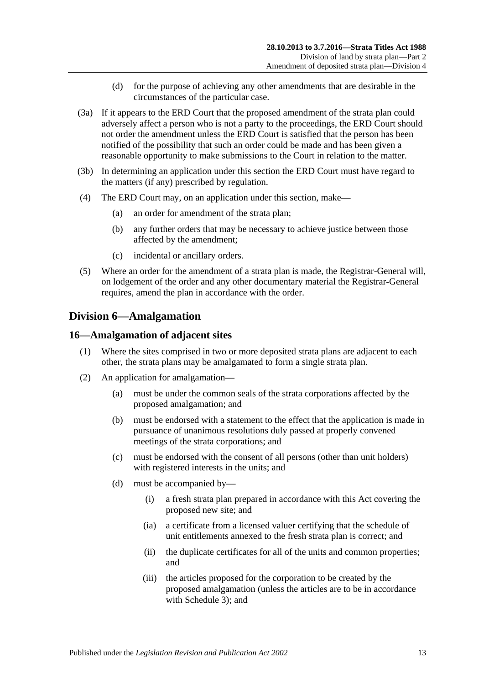- (d) for the purpose of achieving any other amendments that are desirable in the circumstances of the particular case.
- (3a) If it appears to the ERD Court that the proposed amendment of the strata plan could adversely affect a person who is not a party to the proceedings, the ERD Court should not order the amendment unless the ERD Court is satisfied that the person has been notified of the possibility that such an order could be made and has been given a reasonable opportunity to make submissions to the Court in relation to the matter.
- (3b) In determining an application under this section the ERD Court must have regard to the matters (if any) prescribed by regulation.
- (4) The ERD Court may, on an application under this section, make—
	- (a) an order for amendment of the strata plan;
	- (b) any further orders that may be necessary to achieve justice between those affected by the amendment;
	- (c) incidental or ancillary orders.
- (5) Where an order for the amendment of a strata plan is made, the Registrar-General will, on lodgement of the order and any other documentary material the Registrar-General requires, amend the plan in accordance with the order.

## <span id="page-12-0"></span>**Division 6—Amalgamation**

## <span id="page-12-1"></span>**16—Amalgamation of adjacent sites**

- (1) Where the sites comprised in two or more deposited strata plans are adjacent to each other, the strata plans may be amalgamated to form a single strata plan.
- (2) An application for amalgamation—
	- (a) must be under the common seals of the strata corporations affected by the proposed amalgamation; and
	- (b) must be endorsed with a statement to the effect that the application is made in pursuance of unanimous resolutions duly passed at properly convened meetings of the strata corporations; and
	- (c) must be endorsed with the consent of all persons (other than unit holders) with registered interests in the units; and
	- (d) must be accompanied by—
		- (i) a fresh strata plan prepared in accordance with this Act covering the proposed new site; and
		- (ia) a certificate from a licensed valuer certifying that the schedule of unit entitlements annexed to the fresh strata plan is correct; and
		- (ii) the duplicate certificates for all of the units and common properties; and
		- (iii) the articles proposed for the corporation to be created by the proposed amalgamation (unless the articles are to be in accordance with [Schedule 3\)](#page-50-2); and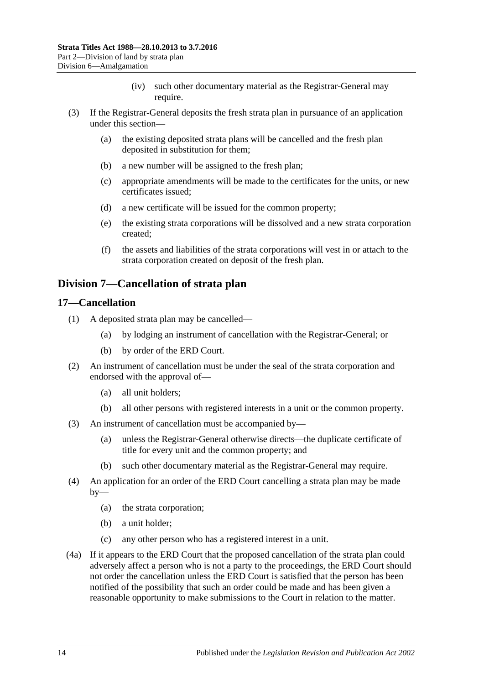- (iv) such other documentary material as the Registrar-General may require.
- (3) If the Registrar-General deposits the fresh strata plan in pursuance of an application under this section—
	- (a) the existing deposited strata plans will be cancelled and the fresh plan deposited in substitution for them;
	- (b) a new number will be assigned to the fresh plan;
	- (c) appropriate amendments will be made to the certificates for the units, or new certificates issued;
	- (d) a new certificate will be issued for the common property;
	- (e) the existing strata corporations will be dissolved and a new strata corporation created;
	- (f) the assets and liabilities of the strata corporations will vest in or attach to the strata corporation created on deposit of the fresh plan.

## <span id="page-13-0"></span>**Division 7—Cancellation of strata plan**

## <span id="page-13-1"></span>**17—Cancellation**

- (1) A deposited strata plan may be cancelled—
	- (a) by lodging an instrument of cancellation with the Registrar-General; or
	- (b) by order of the ERD Court.
- (2) An instrument of cancellation must be under the seal of the strata corporation and endorsed with the approval of—
	- (a) all unit holders;
	- (b) all other persons with registered interests in a unit or the common property.
- (3) An instrument of cancellation must be accompanied by—
	- (a) unless the Registrar-General otherwise directs—the duplicate certificate of title for every unit and the common property; and
	- (b) such other documentary material as the Registrar-General may require.
- (4) An application for an order of the ERD Court cancelling a strata plan may be made  $by-$ 
	- (a) the strata corporation;
	- (b) a unit holder;
	- (c) any other person who has a registered interest in a unit.
- (4a) If it appears to the ERD Court that the proposed cancellation of the strata plan could adversely affect a person who is not a party to the proceedings, the ERD Court should not order the cancellation unless the ERD Court is satisfied that the person has been notified of the possibility that such an order could be made and has been given a reasonable opportunity to make submissions to the Court in relation to the matter.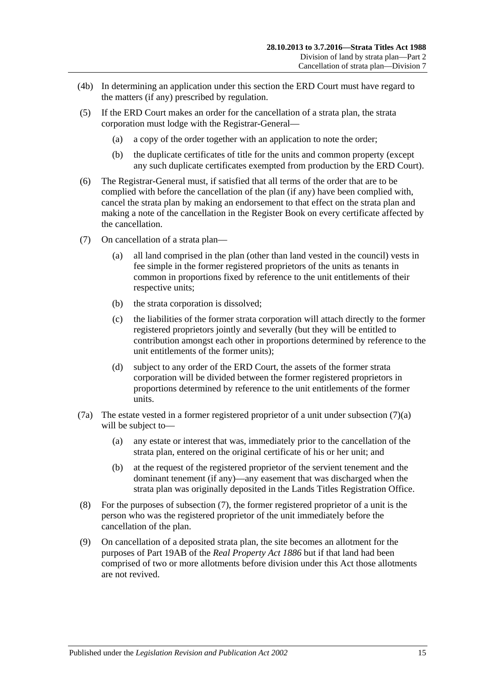- (4b) In determining an application under this section the ERD Court must have regard to the matters (if any) prescribed by regulation.
- (5) If the ERD Court makes an order for the cancellation of a strata plan, the strata corporation must lodge with the Registrar-General—
	- (a) a copy of the order together with an application to note the order;
	- (b) the duplicate certificates of title for the units and common property (except any such duplicate certificates exempted from production by the ERD Court).
- (6) The Registrar-General must, if satisfied that all terms of the order that are to be complied with before the cancellation of the plan (if any) have been complied with, cancel the strata plan by making an endorsement to that effect on the strata plan and making a note of the cancellation in the Register Book on every certificate affected by the cancellation.
- <span id="page-14-1"></span><span id="page-14-0"></span>(7) On cancellation of a strata plan—
	- (a) all land comprised in the plan (other than land vested in the council) vests in fee simple in the former registered proprietors of the units as tenants in common in proportions fixed by reference to the unit entitlements of their respective units;
	- (b) the strata corporation is dissolved;
	- (c) the liabilities of the former strata corporation will attach directly to the former registered proprietors jointly and severally (but they will be entitled to contribution amongst each other in proportions determined by reference to the unit entitlements of the former units);
	- (d) subject to any order of the ERD Court, the assets of the former strata corporation will be divided between the former registered proprietors in proportions determined by reference to the unit entitlements of the former units.
- (7a) The estate vested in a former registered proprietor of a unit under [subsection](#page-14-0) (7)(a) will be subject to—
	- (a) any estate or interest that was, immediately prior to the cancellation of the strata plan, entered on the original certificate of his or her unit; and
	- (b) at the request of the registered proprietor of the servient tenement and the dominant tenement (if any)—any easement that was discharged when the strata plan was originally deposited in the Lands Titles Registration Office.
- (8) For the purposes of [subsection](#page-14-1) (7), the former registered proprietor of a unit is the person who was the registered proprietor of the unit immediately before the cancellation of the plan.
- (9) On cancellation of a deposited strata plan, the site becomes an allotment for the purposes of Part 19AB of the *[Real Property Act](http://www.legislation.sa.gov.au/index.aspx?action=legref&type=act&legtitle=Real%20Property%20Act%201886) 1886* but if that land had been comprised of two or more allotments before division under this Act those allotments are not revived.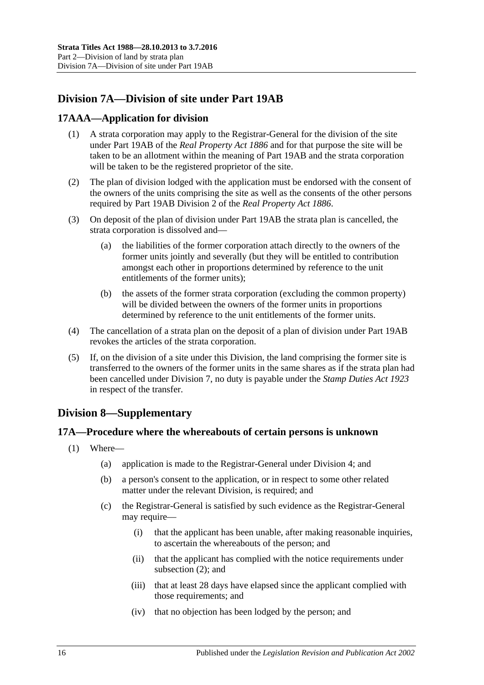## <span id="page-15-0"></span>**Division 7A—Division of site under Part 19AB**

## <span id="page-15-1"></span>**17AAA—Application for division**

- (1) A strata corporation may apply to the Registrar-General for the division of the site under Part 19AB of the *[Real Property Act](http://www.legislation.sa.gov.au/index.aspx?action=legref&type=act&legtitle=Real%20Property%20Act%201886) 1886* and for that purpose the site will be taken to be an allotment within the meaning of Part 19AB and the strata corporation will be taken to be the registered proprietor of the site.
- (2) The plan of division lodged with the application must be endorsed with the consent of the owners of the units comprising the site as well as the consents of the other persons required by Part 19AB Division 2 of the *[Real Property Act](http://www.legislation.sa.gov.au/index.aspx?action=legref&type=act&legtitle=Real%20Property%20Act%201886) 1886*.
- (3) On deposit of the plan of division under Part 19AB the strata plan is cancelled, the strata corporation is dissolved and—
	- (a) the liabilities of the former corporation attach directly to the owners of the former units jointly and severally (but they will be entitled to contribution amongst each other in proportions determined by reference to the unit entitlements of the former units);
	- (b) the assets of the former strata corporation (excluding the common property) will be divided between the owners of the former units in proportions determined by reference to the unit entitlements of the former units.
- (4) The cancellation of a strata plan on the deposit of a plan of division under Part 19AB revokes the articles of the strata corporation.
- (5) If, on the division of a site under this Division, the land comprising the former site is transferred to the owners of the former units in the same shares as if the strata plan had been cancelled under [Division 7,](#page-13-0) no duty is payable under the *[Stamp Duties Act](http://www.legislation.sa.gov.au/index.aspx?action=legref&type=act&legtitle=Stamp%20Duties%20Act%201923) 1923* in respect of the transfer.

## <span id="page-15-2"></span>**Division 8—Supplementary**

### <span id="page-15-3"></span>**17A—Procedure where the whereabouts of certain persons is unknown**

- <span id="page-15-4"></span>(1) Where—
	- (a) application is made to the Registrar-General under [Division 4;](#page-8-2) and
	- (b) a person's consent to the application, or in respect to some other related matter under the relevant Division, is required; and
	- (c) the Registrar-General is satisfied by such evidence as the Registrar-General may require—
		- (i) that the applicant has been unable, after making reasonable inquiries, to ascertain the whereabouts of the person; and
		- (ii) that the applicant has complied with the notice requirements under [subsection](#page-16-1) (2); and
		- (iii) that at least 28 days have elapsed since the applicant complied with those requirements; and
		- (iv) that no objection has been lodged by the person; and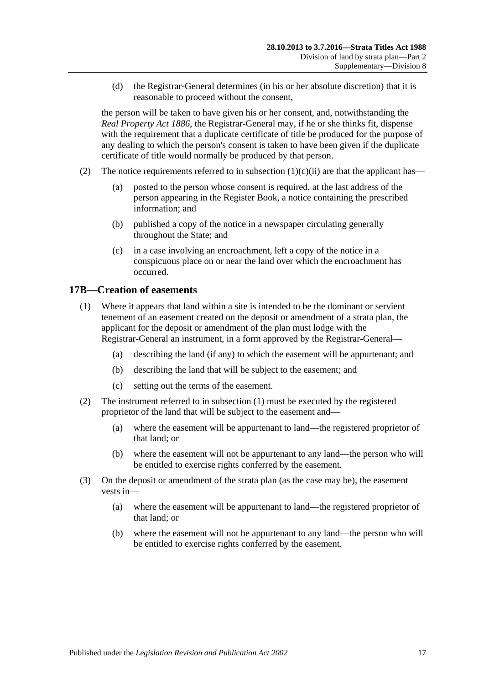(d) the Registrar-General determines (in his or her absolute discretion) that it is reasonable to proceed without the consent,

the person will be taken to have given his or her consent, and, notwithstanding the *[Real Property Act](http://www.legislation.sa.gov.au/index.aspx?action=legref&type=act&legtitle=Real%20Property%20Act%201886) 1886*, the Registrar-General may, if he or she thinks fit, dispense with the requirement that a duplicate certificate of title be produced for the purpose of any dealing to which the person's consent is taken to have been given if the duplicate certificate of title would normally be produced by that person.

- <span id="page-16-1"></span>(2) The notice requirements referred to in [subsection](#page-15-4)  $(1)(c)(ii)$  are that the applicant has—
	- (a) posted to the person whose consent is required, at the last address of the person appearing in the Register Book, a notice containing the prescribed information; and
	- (b) published a copy of the notice in a newspaper circulating generally throughout the State; and
	- (c) in a case involving an encroachment, left a copy of the notice in a conspicuous place on or near the land over which the encroachment has occurred.

## <span id="page-16-2"></span><span id="page-16-0"></span>**17B—Creation of easements**

- (1) Where it appears that land within a site is intended to be the dominant or servient tenement of an easement created on the deposit or amendment of a strata plan, the applicant for the deposit or amendment of the plan must lodge with the Registrar-General an instrument, in a form approved by the Registrar-General—
	- (a) describing the land (if any) to which the easement will be appurtenant; and
	- (b) describing the land that will be subject to the easement; and
	- (c) setting out the terms of the easement.
- (2) The instrument referred to in [subsection](#page-16-2) (1) must be executed by the registered proprietor of the land that will be subject to the easement and—
	- (a) where the easement will be appurtenant to land—the registered proprietor of that land; or
	- (b) where the easement will not be appurtenant to any land—the person who will be entitled to exercise rights conferred by the easement.
- (3) On the deposit or amendment of the strata plan (as the case may be), the easement vests in—
	- (a) where the easement will be appurtenant to land—the registered proprietor of that land; or
	- (b) where the easement will not be appurtenant to any land—the person who will be entitled to exercise rights conferred by the easement.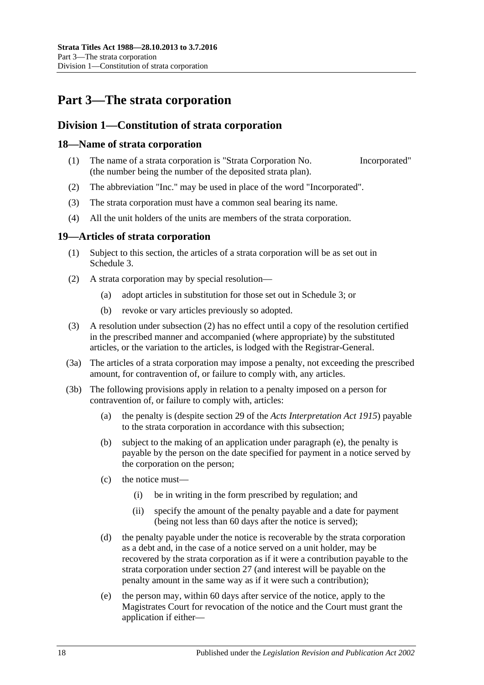## <span id="page-17-0"></span>**Part 3—The strata corporation**

## <span id="page-17-1"></span>**Division 1—Constitution of strata corporation**

### <span id="page-17-2"></span>**18—Name of strata corporation**

- (1) The name of a strata corporation is "Strata Corporation No. Incorporated" (the number being the number of the deposited strata plan).
- (2) The abbreviation "Inc." may be used in place of the word "Incorporated".
- (3) The strata corporation must have a common seal bearing its name.
- (4) All the unit holders of the units are members of the strata corporation.

## <span id="page-17-3"></span>**19—Articles of strata corporation**

- (1) Subject to this section, the articles of a strata corporation will be as set out in [Schedule](#page-50-2) 3.
- <span id="page-17-4"></span>(2) A strata corporation may by special resolution—
	- (a) adopt articles in substitution for those set out in [Schedule](#page-50-2) 3; or
	- (b) revoke or vary articles previously so adopted.
- (3) A resolution under [subsection](#page-17-4) (2) has no effect until a copy of the resolution certified in the prescribed manner and accompanied (where appropriate) by the substituted articles, or the variation to the articles, is lodged with the Registrar-General.
- (3a) The articles of a strata corporation may impose a penalty, not exceeding the prescribed amount, for contravention of, or failure to comply with, any articles.
- <span id="page-17-5"></span>(3b) The following provisions apply in relation to a penalty imposed on a person for contravention of, or failure to comply with, articles:
	- (a) the penalty is (despite section 29 of the *[Acts Interpretation Act](http://www.legislation.sa.gov.au/index.aspx?action=legref&type=act&legtitle=Acts%20Interpretation%20Act%201915) 1915*) payable to the strata corporation in accordance with this subsection;
	- (b) subject to the making of an application under [paragraph](#page-17-5) (e), the penalty is payable by the person on the date specified for payment in a notice served by the corporation on the person;
	- (c) the notice must—
		- (i) be in writing in the form prescribed by regulation; and
		- (ii) specify the amount of the penalty payable and a date for payment (being not less than 60 days after the notice is served);
	- (d) the penalty payable under the notice is recoverable by the strata corporation as a debt and, in the case of a notice served on a unit holder, may be recovered by the strata corporation as if it were a contribution payable to the strata corporation under [section](#page-21-2) 27 (and interest will be payable on the penalty amount in the same way as if it were such a contribution);
	- (e) the person may, within 60 days after service of the notice, apply to the Magistrates Court for revocation of the notice and the Court must grant the application if either—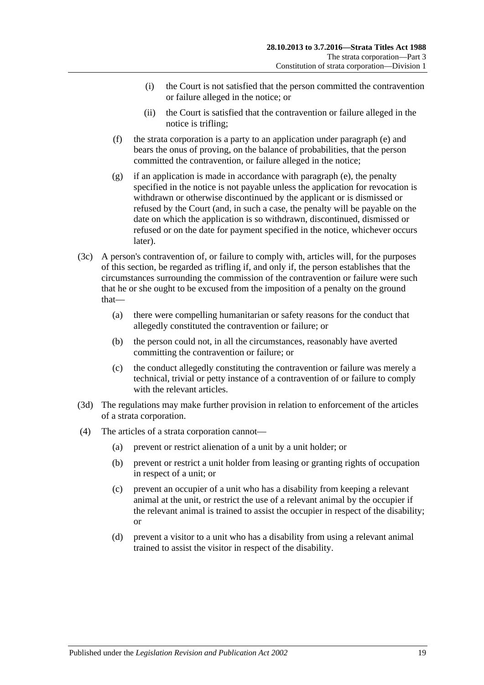- (i) the Court is not satisfied that the person committed the contravention or failure alleged in the notice; or
- (ii) the Court is satisfied that the contravention or failure alleged in the notice is trifling;
- (f) the strata corporation is a party to an application under [paragraph](#page-17-5) (e) and bears the onus of proving, on the balance of probabilities, that the person committed the contravention, or failure alleged in the notice;
- (g) if an application is made in accordance with [paragraph](#page-17-5) (e), the penalty specified in the notice is not payable unless the application for revocation is withdrawn or otherwise discontinued by the applicant or is dismissed or refused by the Court (and, in such a case, the penalty will be payable on the date on which the application is so withdrawn, discontinued, dismissed or refused or on the date for payment specified in the notice, whichever occurs later).
- (3c) A person's contravention of, or failure to comply with, articles will, for the purposes of this section, be regarded as trifling if, and only if, the person establishes that the circumstances surrounding the commission of the contravention or failure were such that he or she ought to be excused from the imposition of a penalty on the ground that—
	- (a) there were compelling humanitarian or safety reasons for the conduct that allegedly constituted the contravention or failure; or
	- (b) the person could not, in all the circumstances, reasonably have averted committing the contravention or failure; or
	- (c) the conduct allegedly constituting the contravention or failure was merely a technical, trivial or petty instance of a contravention of or failure to comply with the relevant articles.
- (3d) The regulations may make further provision in relation to enforcement of the articles of a strata corporation.
- (4) The articles of a strata corporation cannot—
	- (a) prevent or restrict alienation of a unit by a unit holder; or
	- (b) prevent or restrict a unit holder from leasing or granting rights of occupation in respect of a unit; or
	- (c) prevent an occupier of a unit who has a disability from keeping a relevant animal at the unit, or restrict the use of a relevant animal by the occupier if the relevant animal is trained to assist the occupier in respect of the disability; or
	- (d) prevent a visitor to a unit who has a disability from using a relevant animal trained to assist the visitor in respect of the disability.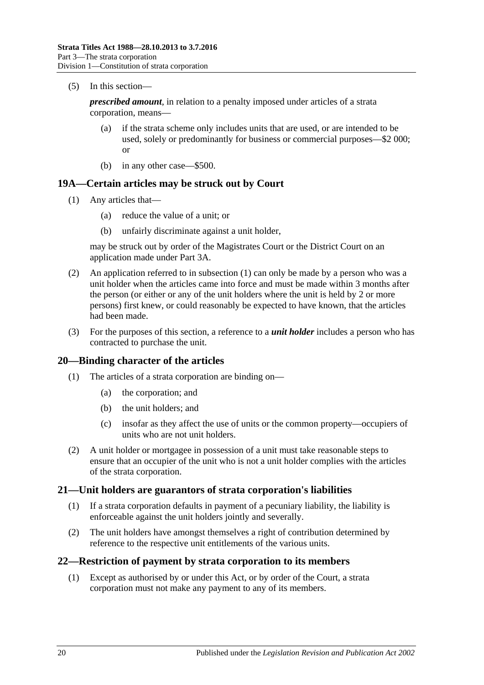(5) In this section—

*prescribed amount*, in relation to a penalty imposed under articles of a strata corporation, means—

- (a) if the strata scheme only includes units that are used, or are intended to be used, solely or predominantly for business or commercial purposes—\$2 000; or
- (b) in any other case—\$500.

## <span id="page-19-4"></span><span id="page-19-0"></span>**19A—Certain articles may be struck out by Court**

- (1) Any articles that—
	- (a) reduce the value of a unit; or
	- (b) unfairly discriminate against a unit holder,

may be struck out by order of the Magistrates Court or the District Court on an application made under [Part 3A.](#page-41-0)

- (2) An application referred to in [subsection](#page-19-4) (1) can only be made by a person who was a unit holder when the articles came into force and must be made within 3 months after the person (or either or any of the unit holders where the unit is held by 2 or more persons) first knew, or could reasonably be expected to have known, that the articles had been made.
- (3) For the purposes of this section, a reference to a *unit holder* includes a person who has contracted to purchase the unit.

### <span id="page-19-1"></span>**20—Binding character of the articles**

- (1) The articles of a strata corporation are binding on—
	- (a) the corporation; and
	- (b) the unit holders; and
	- (c) insofar as they affect the use of units or the common property—occupiers of units who are not unit holders.
- (2) A unit holder or mortgagee in possession of a unit must take reasonable steps to ensure that an occupier of the unit who is not a unit holder complies with the articles of the strata corporation.

### <span id="page-19-2"></span>**21—Unit holders are guarantors of strata corporation's liabilities**

- (1) If a strata corporation defaults in payment of a pecuniary liability, the liability is enforceable against the unit holders jointly and severally.
- (2) The unit holders have amongst themselves a right of contribution determined by reference to the respective unit entitlements of the various units.

### <span id="page-19-5"></span><span id="page-19-3"></span>**22—Restriction of payment by strata corporation to its members**

(1) Except as authorised by or under this Act, or by order of the Court, a strata corporation must not make any payment to any of its members.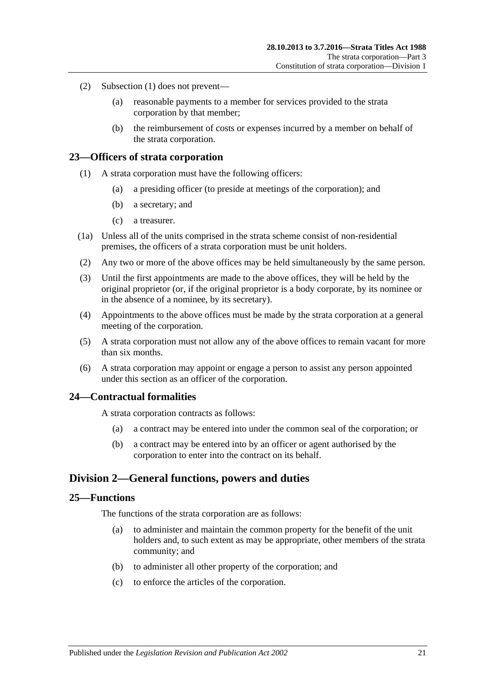- (2) [Subsection](#page-19-5) (1) does not prevent—
	- (a) reasonable payments to a member for services provided to the strata corporation by that member;
	- (b) the reimbursement of costs or expenses incurred by a member on behalf of the strata corporation.

### <span id="page-20-0"></span>**23—Officers of strata corporation**

- (1) A strata corporation must have the following officers:
	- (a) a presiding officer (to preside at meetings of the corporation); and
	- (b) a secretary; and
	- (c) a treasurer.
- (1a) Unless all of the units comprised in the strata scheme consist of non-residential premises, the officers of a strata corporation must be unit holders.
- (2) Any two or more of the above offices may be held simultaneously by the same person.
- (3) Until the first appointments are made to the above offices, they will be held by the original proprietor (or, if the original proprietor is a body corporate, by its nominee or in the absence of a nominee, by its secretary).
- (4) Appointments to the above offices must be made by the strata corporation at a general meeting of the corporation.
- (5) A strata corporation must not allow any of the above offices to remain vacant for more than six months.
- (6) A strata corporation may appoint or engage a person to assist any person appointed under this section as an officer of the corporation.

### <span id="page-20-1"></span>**24—Contractual formalities**

A strata corporation contracts as follows:

- (a) a contract may be entered into under the common seal of the corporation; or
- (b) a contract may be entered into by an officer or agent authorised by the corporation to enter into the contract on its behalf.

## <span id="page-20-2"></span>**Division 2—General functions, powers and duties**

## <span id="page-20-3"></span>**25—Functions**

The functions of the strata corporation are as follows:

- (a) to administer and maintain the common property for the benefit of the unit holders and, to such extent as may be appropriate, other members of the strata community; and
- (b) to administer all other property of the corporation; and
- (c) to enforce the articles of the corporation.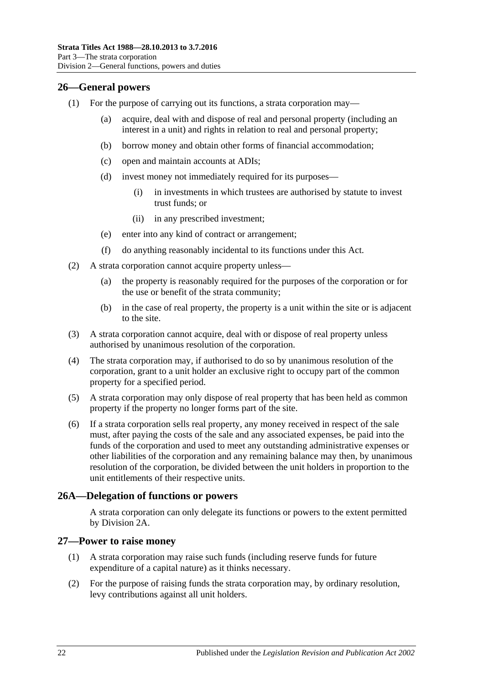## <span id="page-21-0"></span>**26—General powers**

- (1) For the purpose of carrying out its functions, a strata corporation may
	- acquire, deal with and dispose of real and personal property (including an interest in a unit) and rights in relation to real and personal property;
	- (b) borrow money and obtain other forms of financial accommodation;
	- (c) open and maintain accounts at ADIs;
	- (d) invest money not immediately required for its purposes—
		- (i) in investments in which trustees are authorised by statute to invest trust funds; or
		- (ii) in any prescribed investment;
	- (e) enter into any kind of contract or arrangement;
	- (f) do anything reasonably incidental to its functions under this Act.
- (2) A strata corporation cannot acquire property unless—
	- (a) the property is reasonably required for the purposes of the corporation or for the use or benefit of the strata community;
	- (b) in the case of real property, the property is a unit within the site or is adjacent to the site.
- (3) A strata corporation cannot acquire, deal with or dispose of real property unless authorised by unanimous resolution of the corporation.
- (4) The strata corporation may, if authorised to do so by unanimous resolution of the corporation, grant to a unit holder an exclusive right to occupy part of the common property for a specified period.
- (5) A strata corporation may only dispose of real property that has been held as common property if the property no longer forms part of the site.
- (6) If a strata corporation sells real property, any money received in respect of the sale must, after paying the costs of the sale and any associated expenses, be paid into the funds of the corporation and used to meet any outstanding administrative expenses or other liabilities of the corporation and any remaining balance may then, by unanimous resolution of the corporation, be divided between the unit holders in proportion to the unit entitlements of their respective units.

## <span id="page-21-1"></span>**26A—Delegation of functions or powers**

A strata corporation can only delegate its functions or powers to the extent permitted by [Division 2A.](#page-22-0)

### <span id="page-21-2"></span>**27—Power to raise money**

- (1) A strata corporation may raise such funds (including reserve funds for future expenditure of a capital nature) as it thinks necessary.
- (2) For the purpose of raising funds the strata corporation may, by ordinary resolution, levy contributions against all unit holders.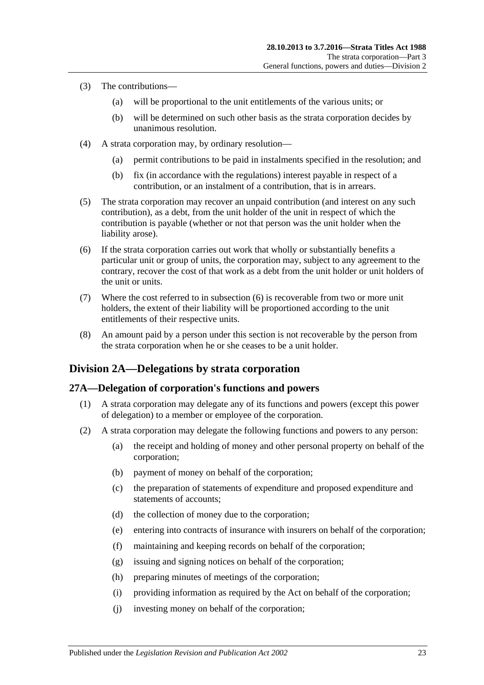- (3) The contributions—
	- (a) will be proportional to the unit entitlements of the various units; or
	- (b) will be determined on such other basis as the strata corporation decides by unanimous resolution.
- (4) A strata corporation may, by ordinary resolution—
	- (a) permit contributions to be paid in instalments specified in the resolution; and
	- (b) fix (in accordance with the regulations) interest payable in respect of a contribution, or an instalment of a contribution, that is in arrears.
- (5) The strata corporation may recover an unpaid contribution (and interest on any such contribution), as a debt, from the unit holder of the unit in respect of which the contribution is payable (whether or not that person was the unit holder when the liability arose).
- <span id="page-22-2"></span>(6) If the strata corporation carries out work that wholly or substantially benefits a particular unit or group of units, the corporation may, subject to any agreement to the contrary, recover the cost of that work as a debt from the unit holder or unit holders of the unit or units.
- (7) Where the cost referred to in [subsection](#page-22-2) (6) is recoverable from two or more unit holders, the extent of their liability will be proportioned according to the unit entitlements of their respective units.
- (8) An amount paid by a person under this section is not recoverable by the person from the strata corporation when he or she ceases to be a unit holder.

## <span id="page-22-0"></span>**Division 2A—Delegations by strata corporation**

### <span id="page-22-3"></span><span id="page-22-1"></span>**27A—Delegation of corporation's functions and powers**

- (1) A strata corporation may delegate any of its functions and powers (except this power of delegation) to a member or employee of the corporation.
- <span id="page-22-4"></span>(2) A strata corporation may delegate the following functions and powers to any person:
	- (a) the receipt and holding of money and other personal property on behalf of the corporation;
	- (b) payment of money on behalf of the corporation;
	- (c) the preparation of statements of expenditure and proposed expenditure and statements of accounts;
	- (d) the collection of money due to the corporation;
	- (e) entering into contracts of insurance with insurers on behalf of the corporation;
	- (f) maintaining and keeping records on behalf of the corporation;
	- (g) issuing and signing notices on behalf of the corporation;
	- (h) preparing minutes of meetings of the corporation;
	- (i) providing information as required by the Act on behalf of the corporation;
	- (j) investing money on behalf of the corporation;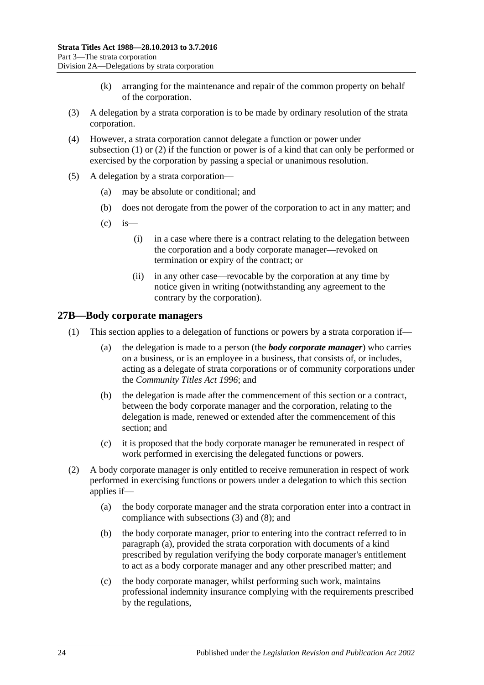- (k) arranging for the maintenance and repair of the common property on behalf of the corporation.
- (3) A delegation by a strata corporation is to be made by ordinary resolution of the strata corporation.
- (4) However, a strata corporation cannot delegate a function or power under [subsection](#page-22-3) (1) or [\(2\)](#page-22-4) if the function or power is of a kind that can only be performed or exercised by the corporation by passing a special or unanimous resolution.
- (5) A delegation by a strata corporation—
	- (a) may be absolute or conditional; and
	- (b) does not derogate from the power of the corporation to act in any matter; and
	- $\left( c \right)$  is
		- (i) in a case where there is a contract relating to the delegation between the corporation and a body corporate manager—revoked on termination or expiry of the contract; or
		- (ii) in any other case—revocable by the corporation at any time by notice given in writing (notwithstanding any agreement to the contrary by the corporation).

### <span id="page-23-0"></span>**27B—Body corporate managers**

- (1) This section applies to a delegation of functions or powers by a strata corporation if—
	- (a) the delegation is made to a person (the *body corporate manager*) who carries on a business, or is an employee in a business, that consists of, or includes, acting as a delegate of strata corporations or of community corporations under the *[Community Titles Act](http://www.legislation.sa.gov.au/index.aspx?action=legref&type=act&legtitle=Community%20Titles%20Act%201996) 1996*; and
	- (b) the delegation is made after the commencement of this section or a contract, between the body corporate manager and the corporation, relating to the delegation is made, renewed or extended after the commencement of this section; and
	- (c) it is proposed that the body corporate manager be remunerated in respect of work performed in exercising the delegated functions or powers.
- <span id="page-23-3"></span><span id="page-23-2"></span><span id="page-23-1"></span>(2) A body corporate manager is only entitled to receive remuneration in respect of work performed in exercising functions or powers under a delegation to which this section applies if—
	- (a) the body corporate manager and the strata corporation enter into a contract in compliance with [subsections](#page-24-0) (3) and [\(8\);](#page-24-1) and
	- (b) the body corporate manager, prior to entering into the contract referred to in [paragraph](#page-23-1) (a), provided the strata corporation with documents of a kind prescribed by regulation verifying the body corporate manager's entitlement to act as a body corporate manager and any other prescribed matter; and
	- (c) the body corporate manager, whilst performing such work, maintains professional indemnity insurance complying with the requirements prescribed by the regulations,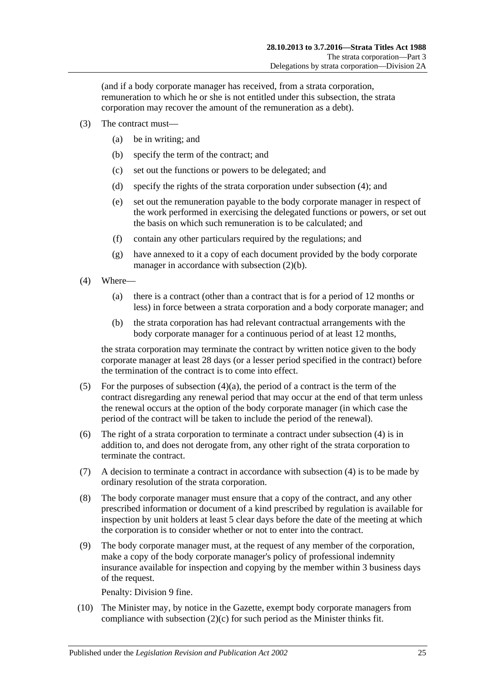(and if a body corporate manager has received, from a strata corporation, remuneration to which he or she is not entitled under this subsection, the strata corporation may recover the amount of the remuneration as a debt).

- <span id="page-24-0"></span>(3) The contract must—
	- (a) be in writing; and
	- (b) specify the term of the contract; and
	- (c) set out the functions or powers to be delegated; and
	- (d) specify the rights of the strata corporation under [subsection](#page-24-2) (4); and
	- (e) set out the remuneration payable to the body corporate manager in respect of the work performed in exercising the delegated functions or powers, or set out the basis on which such remuneration is to be calculated; and
	- (f) contain any other particulars required by the regulations; and
	- (g) have annexed to it a copy of each document provided by the body corporate manager in accordance with [subsection](#page-23-2)  $(2)(b)$ .
- <span id="page-24-3"></span><span id="page-24-2"></span>(4) Where—
	- (a) there is a contract (other than a contract that is for a period of 12 months or less) in force between a strata corporation and a body corporate manager; and
	- (b) the strata corporation has had relevant contractual arrangements with the body corporate manager for a continuous period of at least 12 months,

the strata corporation may terminate the contract by written notice given to the body corporate manager at least 28 days (or a lesser period specified in the contract) before the termination of the contract is to come into effect.

- (5) For the purposes of [subsection](#page-24-3)  $(4)(a)$ , the period of a contract is the term of the contract disregarding any renewal period that may occur at the end of that term unless the renewal occurs at the option of the body corporate manager (in which case the period of the contract will be taken to include the period of the renewal).
- (6) The right of a strata corporation to terminate a contract under [subsection](#page-24-2) (4) is in addition to, and does not derogate from, any other right of the strata corporation to terminate the contract.
- (7) A decision to terminate a contract in accordance with [subsection](#page-24-2) (4) is to be made by ordinary resolution of the strata corporation.
- <span id="page-24-1"></span>(8) The body corporate manager must ensure that a copy of the contract, and any other prescribed information or document of a kind prescribed by regulation is available for inspection by unit holders at least 5 clear days before the date of the meeting at which the corporation is to consider whether or not to enter into the contract.
- (9) The body corporate manager must, at the request of any member of the corporation, make a copy of the body corporate manager's policy of professional indemnity insurance available for inspection and copying by the member within 3 business days of the request.

Penalty: Division 9 fine.

<span id="page-24-4"></span>(10) The Minister may, by notice in the Gazette, exempt body corporate managers from compliance with [subsection](#page-23-3)  $(2)(c)$  for such period as the Minister thinks fit.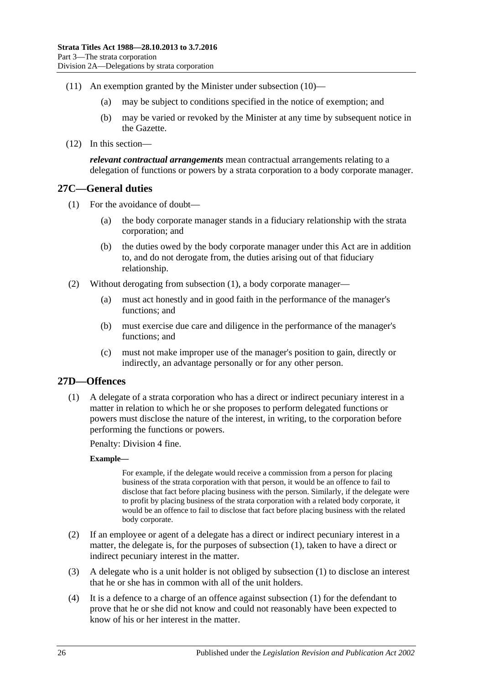- (11) An exemption granted by the Minister under [subsection](#page-24-4) (10)—
	- (a) may be subject to conditions specified in the notice of exemption; and
	- (b) may be varied or revoked by the Minister at any time by subsequent notice in the Gazette.
- (12) In this section—

*relevant contractual arrangements* mean contractual arrangements relating to a delegation of functions or powers by a strata corporation to a body corporate manager.

### <span id="page-25-2"></span><span id="page-25-0"></span>**27C—General duties**

- (1) For the avoidance of doubt—
	- (a) the body corporate manager stands in a fiduciary relationship with the strata corporation; and
	- (b) the duties owed by the body corporate manager under this Act are in addition to, and do not derogate from, the duties arising out of that fiduciary relationship.
- (2) Without derogating from [subsection](#page-25-2) (1), a body corporate manager—
	- (a) must act honestly and in good faith in the performance of the manager's functions; and
	- (b) must exercise due care and diligence in the performance of the manager's functions; and
	- (c) must not make improper use of the manager's position to gain, directly or indirectly, an advantage personally or for any other person.

## <span id="page-25-3"></span><span id="page-25-1"></span>**27D—Offences**

(1) A delegate of a strata corporation who has a direct or indirect pecuniary interest in a matter in relation to which he or she proposes to perform delegated functions or powers must disclose the nature of the interest, in writing, to the corporation before performing the functions or powers.

Penalty: Division 4 fine.

#### **Example—**

For example, if the delegate would receive a commission from a person for placing business of the strata corporation with that person, it would be an offence to fail to disclose that fact before placing business with the person. Similarly, if the delegate were to profit by placing business of the strata corporation with a related body corporate, it would be an offence to fail to disclose that fact before placing business with the related body corporate.

- (2) If an employee or agent of a delegate has a direct or indirect pecuniary interest in a matter, the delegate is, for the purposes of [subsection](#page-25-3) (1), taken to have a direct or indirect pecuniary interest in the matter.
- (3) A delegate who is a unit holder is not obliged by [subsection](#page-25-3) (1) to disclose an interest that he or she has in common with all of the unit holders.
- (4) It is a defence to a charge of an offence against [subsection \(1\)](#page-25-3) for the defendant to prove that he or she did not know and could not reasonably have been expected to know of his or her interest in the matter.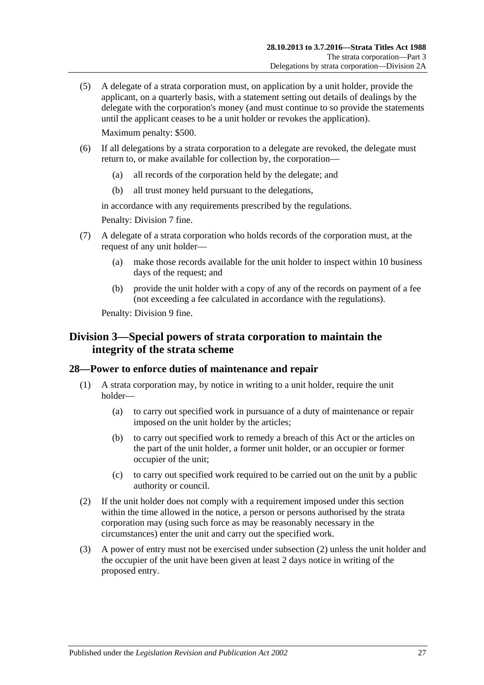(5) A delegate of a strata corporation must, on application by a unit holder, provide the applicant, on a quarterly basis, with a statement setting out details of dealings by the delegate with the corporation's money (and must continue to so provide the statements until the applicant ceases to be a unit holder or revokes the application). Maximum penalty: \$500.

(6) If all delegations by a strata corporation to a delegate are revoked, the delegate must return to, or make available for collection by, the corporation—

- (a) all records of the corporation held by the delegate; and
- (b) all trust money held pursuant to the delegations,

in accordance with any requirements prescribed by the regulations.

Penalty: Division 7 fine.

- (7) A delegate of a strata corporation who holds records of the corporation must, at the request of any unit holder—
	- (a) make those records available for the unit holder to inspect within 10 business days of the request; and
	- (b) provide the unit holder with a copy of any of the records on payment of a fee (not exceeding a fee calculated in accordance with the regulations).

Penalty: Division 9 fine.

## <span id="page-26-0"></span>**Division 3—Special powers of strata corporation to maintain the integrity of the strata scheme**

## <span id="page-26-1"></span>**28—Power to enforce duties of maintenance and repair**

- (1) A strata corporation may, by notice in writing to a unit holder, require the unit holder—
	- (a) to carry out specified work in pursuance of a duty of maintenance or repair imposed on the unit holder by the articles;
	- (b) to carry out specified work to remedy a breach of this Act or the articles on the part of the unit holder, a former unit holder, or an occupier or former occupier of the unit;
	- (c) to carry out specified work required to be carried out on the unit by a public authority or council.
- <span id="page-26-2"></span>(2) If the unit holder does not comply with a requirement imposed under this section within the time allowed in the notice, a person or persons authorised by the strata corporation may (using such force as may be reasonably necessary in the circumstances) enter the unit and carry out the specified work.
- (3) A power of entry must not be exercised under [subsection](#page-26-2) (2) unless the unit holder and the occupier of the unit have been given at least 2 days notice in writing of the proposed entry.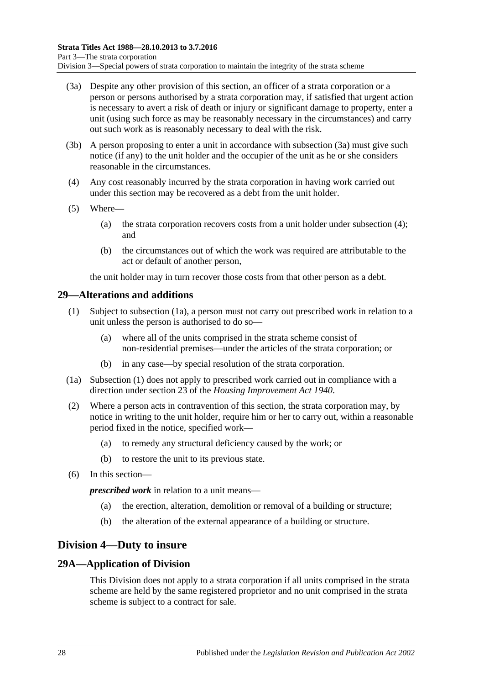- <span id="page-27-3"></span>(3a) Despite any other provision of this section, an officer of a strata corporation or a person or persons authorised by a strata corporation may, if satisfied that urgent action is necessary to avert a risk of death or injury or significant damage to property, enter a unit (using such force as may be reasonably necessary in the circumstances) and carry out such work as is reasonably necessary to deal with the risk.
- (3b) A person proposing to enter a unit in accordance with [subsection](#page-27-3) (3a) must give such notice (if any) to the unit holder and the occupier of the unit as he or she considers reasonable in the circumstances.
- <span id="page-27-4"></span>(4) Any cost reasonably incurred by the strata corporation in having work carried out under this section may be recovered as a debt from the unit holder.
- (5) Where—
	- (a) the strata corporation recovers costs from a unit holder under [subsection](#page-27-4) (4); and
	- (b) the circumstances out of which the work was required are attributable to the act or default of another person,

the unit holder may in turn recover those costs from that other person as a debt.

### <span id="page-27-6"></span><span id="page-27-0"></span>**29—Alterations and additions**

- (1) Subject to [subsection](#page-27-5) (1a), a person must not carry out prescribed work in relation to a unit unless the person is authorised to do so—
	- (a) where all of the units comprised in the strata scheme consist of non-residential premises—under the articles of the strata corporation; or
	- (b) in any case—by special resolution of the strata corporation.
- <span id="page-27-5"></span>(1a) [Subsection](#page-27-6) (1) does not apply to prescribed work carried out in compliance with a direction under section 23 of the *[Housing Improvement Act](http://www.legislation.sa.gov.au/index.aspx?action=legref&type=act&legtitle=Housing%20Improvement%20Act%201940) 1940*.
- (2) Where a person acts in contravention of this section, the strata corporation may, by notice in writing to the unit holder, require him or her to carry out, within a reasonable period fixed in the notice, specified work—
	- (a) to remedy any structural deficiency caused by the work; or
	- (b) to restore the unit to its previous state.
- (6) In this section—

*prescribed work* in relation to a unit means—

- (a) the erection, alteration, demolition or removal of a building or structure;
- (b) the alteration of the external appearance of a building or structure.

## <span id="page-27-1"></span>**Division 4—Duty to insure**

### <span id="page-27-2"></span>**29A—Application of Division**

This Division does not apply to a strata corporation if all units comprised in the strata scheme are held by the same registered proprietor and no unit comprised in the strata scheme is subject to a contract for sale.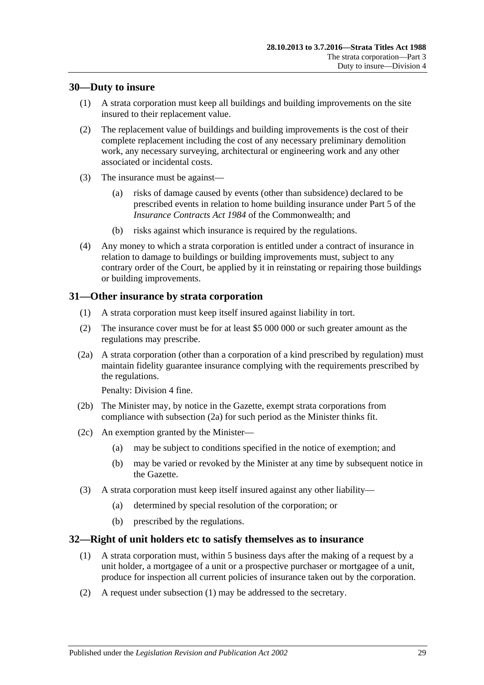## <span id="page-28-0"></span>**30—Duty to insure**

- (1) A strata corporation must keep all buildings and building improvements on the site insured to their replacement value.
- (2) The replacement value of buildings and building improvements is the cost of their complete replacement including the cost of any necessary preliminary demolition work, any necessary surveying, architectural or engineering work and any other associated or incidental costs.
- (3) The insurance must be against—
	- (a) risks of damage caused by events (other than subsidence) declared to be prescribed events in relation to home building insurance under Part 5 of the *Insurance Contracts Act 1984* of the Commonwealth; and
	- (b) risks against which insurance is required by the regulations.
- (4) Any money to which a strata corporation is entitled under a contract of insurance in relation to damage to buildings or building improvements must, subject to any contrary order of the Court, be applied by it in reinstating or repairing those buildings or building improvements.

## <span id="page-28-1"></span>**31—Other insurance by strata corporation**

- (1) A strata corporation must keep itself insured against liability in tort.
- (2) The insurance cover must be for at least \$5 000 000 or such greater amount as the regulations may prescribe.
- <span id="page-28-3"></span>(2a) A strata corporation (other than a corporation of a kind prescribed by regulation) must maintain fidelity guarantee insurance complying with the requirements prescribed by the regulations.

Penalty: Division 4 fine.

- (2b) The Minister may, by notice in the Gazette, exempt strata corporations from compliance with [subsection](#page-28-3) (2a) for such period as the Minister thinks fit.
- (2c) An exemption granted by the Minister—
	- (a) may be subject to conditions specified in the notice of exemption; and
	- (b) may be varied or revoked by the Minister at any time by subsequent notice in the Gazette.
- (3) A strata corporation must keep itself insured against any other liability—
	- (a) determined by special resolution of the corporation; or
	- (b) prescribed by the regulations.

## <span id="page-28-4"></span><span id="page-28-2"></span>**32—Right of unit holders etc to satisfy themselves as to insurance**

- (1) A strata corporation must, within 5 business days after the making of a request by a unit holder, a mortgagee of a unit or a prospective purchaser or mortgagee of a unit, produce for inspection all current policies of insurance taken out by the corporation.
- (2) A request under [subsection](#page-28-4) (1) may be addressed to the secretary.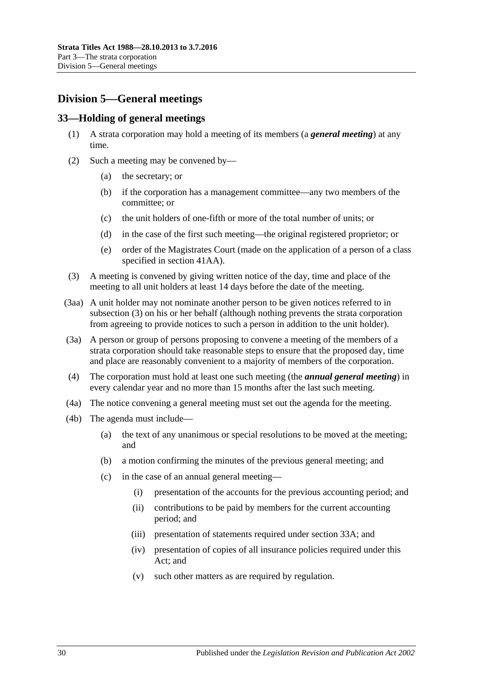## <span id="page-29-0"></span>**Division 5—General meetings**

## <span id="page-29-1"></span>**33—Holding of general meetings**

- (1) A strata corporation may hold a meeting of its members (a *general meeting*) at any time.
- (2) Such a meeting may be convened by—
	- (a) the secretary; or
	- (b) if the corporation has a management committee—any two members of the committee; or
	- (c) the unit holders of one-fifth or more of the total number of units; or
	- (d) in the case of the first such meeting—the original registered proprietor; or
	- (e) order of the Magistrates Court (made on the application of a person of a class specified in [section](#page-41-1) 41AA).
- <span id="page-29-2"></span>(3) A meeting is convened by giving written notice of the day, time and place of the meeting to all unit holders at least 14 days before the date of the meeting.
- (3aa) A unit holder may not nominate another person to be given notices referred to in [subsection](#page-29-2) (3) on his or her behalf (although nothing prevents the strata corporation from agreeing to provide notices to such a person in addition to the unit holder).
- (3a) A person or group of persons proposing to convene a meeting of the members of a strata corporation should take reasonable steps to ensure that the proposed day, time and place are reasonably convenient to a majority of members of the corporation.
- (4) The corporation must hold at least one such meeting (the *annual general meeting*) in every calendar year and no more than 15 months after the last such meeting.
- (4a) The notice convening a general meeting must set out the agenda for the meeting.
- (4b) The agenda must include—
	- (a) the text of any unanimous or special resolutions to be moved at the meeting; and
	- (b) a motion confirming the minutes of the previous general meeting; and
	- (c) in the case of an annual general meeting—
		- (i) presentation of the accounts for the previous accounting period; and
		- (ii) contributions to be paid by members for the current accounting period; and
		- (iii) presentation of statements required under [section](#page-30-0) 33A; and
		- (iv) presentation of copies of all insurance policies required under this Act; and
		- (v) such other matters as are required by regulation.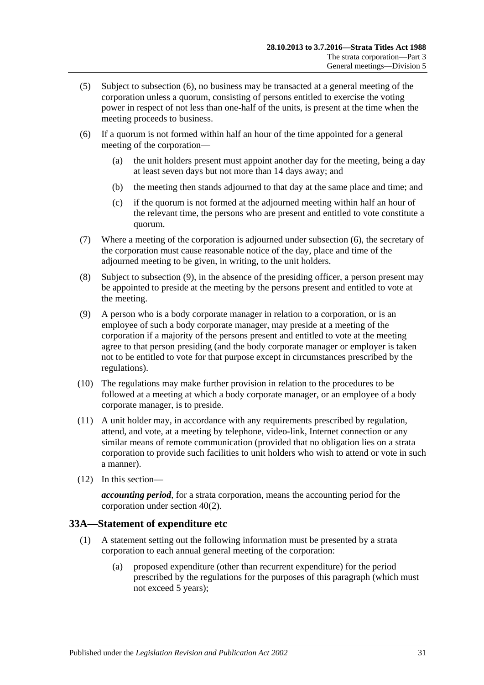- (5) Subject to [subsection](#page-30-1) (6), no business may be transacted at a general meeting of the corporation unless a quorum, consisting of persons entitled to exercise the voting power in respect of not less than one-half of the units, is present at the time when the meeting proceeds to business.
- <span id="page-30-1"></span>(6) If a quorum is not formed within half an hour of the time appointed for a general meeting of the corporation—
	- (a) the unit holders present must appoint another day for the meeting, being a day at least seven days but not more than 14 days away; and
	- (b) the meeting then stands adjourned to that day at the same place and time; and
	- (c) if the quorum is not formed at the adjourned meeting within half an hour of the relevant time, the persons who are present and entitled to vote constitute a quorum.
- (7) Where a meeting of the corporation is adjourned under [subsection](#page-30-1) (6), the secretary of the corporation must cause reasonable notice of the day, place and time of the adjourned meeting to be given, in writing, to the unit holders.
- (8) Subject to [subsection](#page-30-2) (9), in the absence of the presiding officer, a person present may be appointed to preside at the meeting by the persons present and entitled to vote at the meeting.
- <span id="page-30-2"></span>(9) A person who is a body corporate manager in relation to a corporation, or is an employee of such a body corporate manager, may preside at a meeting of the corporation if a majority of the persons present and entitled to vote at the meeting agree to that person presiding (and the body corporate manager or employer is taken not to be entitled to vote for that purpose except in circumstances prescribed by the regulations).
- (10) The regulations may make further provision in relation to the procedures to be followed at a meeting at which a body corporate manager, or an employee of a body corporate manager, is to preside.
- (11) A unit holder may, in accordance with any requirements prescribed by regulation, attend, and vote, at a meeting by telephone, video-link, Internet connection or any similar means of remote communication (provided that no obligation lies on a strata corporation to provide such facilities to unit holders who wish to attend or vote in such a manner).
- (12) In this section—

*accounting period*, for a strata corporation, means the accounting period for the corporation under [section](#page-40-2) 40(2).

## <span id="page-30-0"></span>**33A—Statement of expenditure etc**

- <span id="page-30-3"></span>(1) A statement setting out the following information must be presented by a strata corporation to each annual general meeting of the corporation:
	- (a) proposed expenditure (other than recurrent expenditure) for the period prescribed by the regulations for the purposes of this paragraph (which must not exceed 5 years);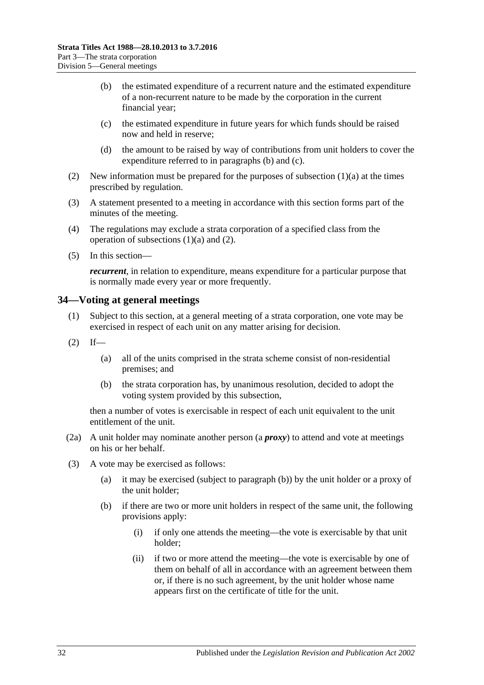- <span id="page-31-1"></span>(b) the estimated expenditure of a recurrent nature and the estimated expenditure of a non-recurrent nature to be made by the corporation in the current financial year;
- <span id="page-31-2"></span>(c) the estimated expenditure in future years for which funds should be raised now and held in reserve;
- (d) the amount to be raised by way of contributions from unit holders to cover the expenditure referred to in [paragraphs](#page-31-1) (b) and [\(c\).](#page-31-2)
- <span id="page-31-3"></span>(2) New information must be prepared for the purposes of [subsection](#page-30-3)  $(1)(a)$  at the times prescribed by regulation.
- (3) A statement presented to a meeting in accordance with this section forms part of the minutes of the meeting.
- (4) The regulations may exclude a strata corporation of a specified class from the operation of [subsections](#page-30-3)  $(1)(a)$  and  $(2)$ .
- (5) In this section—

*recurrent*, in relation to expenditure, means expenditure for a particular purpose that is normally made every year or more frequently.

### <span id="page-31-0"></span>**34—Voting at general meetings**

- (1) Subject to this section, at a general meeting of a strata corporation, one vote may be exercised in respect of each unit on any matter arising for decision.
- $(2)$  If—
	- (a) all of the units comprised in the strata scheme consist of non-residential premises; and
	- (b) the strata corporation has, by unanimous resolution, decided to adopt the voting system provided by this subsection,

then a number of votes is exercisable in respect of each unit equivalent to the unit entitlement of the unit.

- (2a) A unit holder may nominate another person (a *proxy*) to attend and vote at meetings on his or her behalf.
- <span id="page-31-4"></span>(3) A vote may be exercised as follows:
	- (a) it may be exercised (subject to [paragraph](#page-31-4) (b)) by the unit holder or a proxy of the unit holder;
	- (b) if there are two or more unit holders in respect of the same unit, the following provisions apply:
		- (i) if only one attends the meeting—the vote is exercisable by that unit holder;
		- (ii) if two or more attend the meeting—the vote is exercisable by one of them on behalf of all in accordance with an agreement between them or, if there is no such agreement, by the unit holder whose name appears first on the certificate of title for the unit.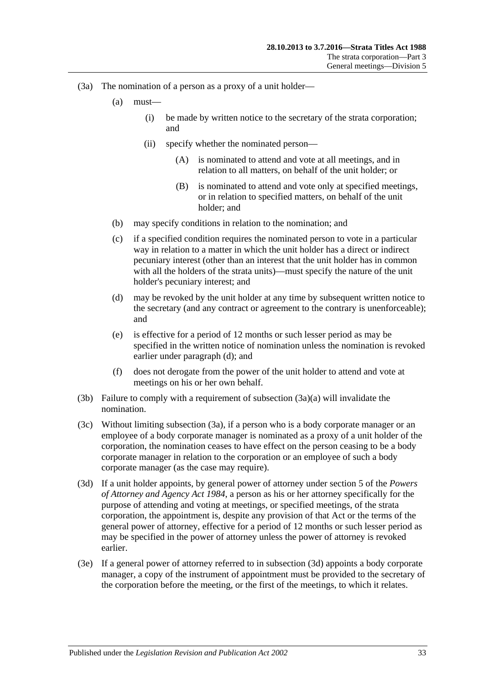- <span id="page-32-5"></span><span id="page-32-2"></span><span id="page-32-1"></span>(3a) The nomination of a person as a proxy of a unit holder—
	- (a) must—
		- (i) be made by written notice to the secretary of the strata corporation; and
		- (ii) specify whether the nominated person—
			- (A) is nominated to attend and vote at all meetings, and in relation to all matters, on behalf of the unit holder; or
			- (B) is nominated to attend and vote only at specified meetings, or in relation to specified matters, on behalf of the unit holder; and
	- (b) may specify conditions in relation to the nomination; and
	- (c) if a specified condition requires the nominated person to vote in a particular way in relation to a matter in which the unit holder has a direct or indirect pecuniary interest (other than an interest that the unit holder has in common with all the holders of the strata units)—must specify the nature of the unit holder's pecuniary interest; and
	- (d) may be revoked by the unit holder at any time by subsequent written notice to the secretary (and any contract or agreement to the contrary is unenforceable); and
	- (e) is effective for a period of 12 months or such lesser period as may be specified in the written notice of nomination unless the nomination is revoked earlier under [paragraph](#page-32-0) (d); and
	- (f) does not derogate from the power of the unit holder to attend and vote at meetings on his or her own behalf.
- <span id="page-32-0"></span>(3b) Failure to comply with a requirement of [subsection](#page-32-1) (3a)(a) will invalidate the nomination.
- (3c) Without limiting [subsection](#page-32-2) (3a), if a person who is a body corporate manager or an employee of a body corporate manager is nominated as a proxy of a unit holder of the corporation, the nomination ceases to have effect on the person ceasing to be a body corporate manager in relation to the corporation or an employee of such a body corporate manager (as the case may require).
- <span id="page-32-3"></span>(3d) If a unit holder appoints, by general power of attorney under section 5 of the *[Powers](http://www.legislation.sa.gov.au/index.aspx?action=legref&type=act&legtitle=Powers%20of%20Attorney%20and%20Agency%20Act%201984)  [of Attorney and Agency Act](http://www.legislation.sa.gov.au/index.aspx?action=legref&type=act&legtitle=Powers%20of%20Attorney%20and%20Agency%20Act%201984) 1984*, a person as his or her attorney specifically for the purpose of attending and voting at meetings, or specified meetings, of the strata corporation, the appointment is, despite any provision of that Act or the terms of the general power of attorney, effective for a period of 12 months or such lesser period as may be specified in the power of attorney unless the power of attorney is revoked earlier.
- <span id="page-32-4"></span>(3e) If a general power of attorney referred to in [subsection](#page-32-3) (3d) appoints a body corporate manager, a copy of the instrument of appointment must be provided to the secretary of the corporation before the meeting, or the first of the meetings, to which it relates.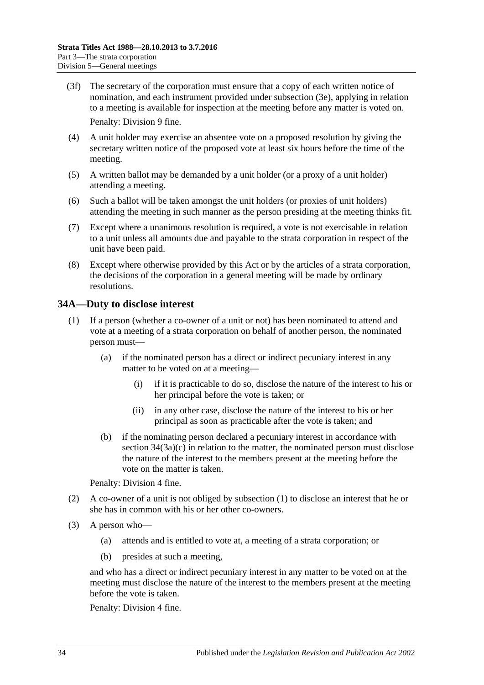- (3f) The secretary of the corporation must ensure that a copy of each written notice of nomination, and each instrument provided under [subsection](#page-32-4) (3e), applying in relation to a meeting is available for inspection at the meeting before any matter is voted on. Penalty: Division 9 fine.
- (4) A unit holder may exercise an absentee vote on a proposed resolution by giving the secretary written notice of the proposed vote at least six hours before the time of the meeting.
- (5) A written ballot may be demanded by a unit holder (or a proxy of a unit holder) attending a meeting.
- (6) Such a ballot will be taken amongst the unit holders (or proxies of unit holders) attending the meeting in such manner as the person presiding at the meeting thinks fit.
- (7) Except where a unanimous resolution is required, a vote is not exercisable in relation to a unit unless all amounts due and payable to the strata corporation in respect of the unit have been paid.
- (8) Except where otherwise provided by this Act or by the articles of a strata corporation, the decisions of the corporation in a general meeting will be made by ordinary resolutions.

## <span id="page-33-1"></span><span id="page-33-0"></span>**34A—Duty to disclose interest**

- (1) If a person (whether a co-owner of a unit or not) has been nominated to attend and vote at a meeting of a strata corporation on behalf of another person, the nominated person must—
	- (a) if the nominated person has a direct or indirect pecuniary interest in any matter to be voted on at a meeting—
		- (i) if it is practicable to do so, disclose the nature of the interest to his or her principal before the vote is taken; or
		- (ii) in any other case, disclose the nature of the interest to his or her principal as soon as practicable after the vote is taken; and
	- (b) if the nominating person declared a pecuniary interest in accordance with section [34\(3a\)\(c\)](#page-32-5) in relation to the matter, the nominated person must disclose the nature of the interest to the members present at the meeting before the vote on the matter is taken.

Penalty: Division 4 fine.

- (2) A co-owner of a unit is not obliged by [subsection](#page-33-1) (1) to disclose an interest that he or she has in common with his or her other co-owners.
- <span id="page-33-2"></span>(3) A person who—
	- (a) attends and is entitled to vote at, a meeting of a strata corporation; or
	- (b) presides at such a meeting,

and who has a direct or indirect pecuniary interest in any matter to be voted on at the meeting must disclose the nature of the interest to the members present at the meeting before the vote is taken.

Penalty: Division 4 fine.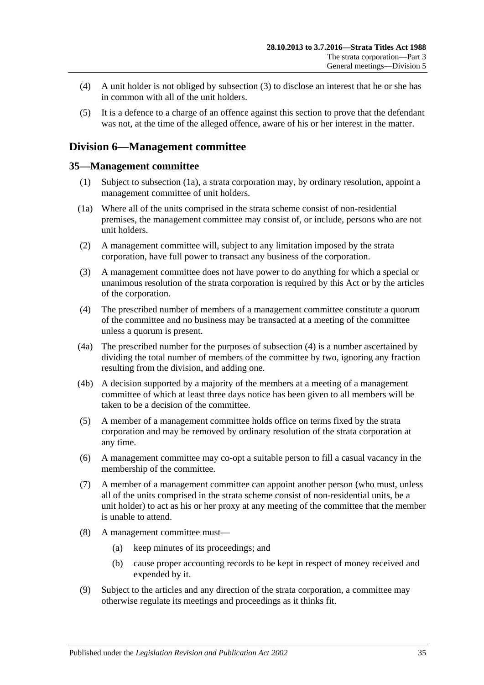- (4) A unit holder is not obliged by [subsection](#page-33-2) (3) to disclose an interest that he or she has in common with all of the unit holders.
- (5) It is a defence to a charge of an offence against this section to prove that the defendant was not, at the time of the alleged offence, aware of his or her interest in the matter.

## <span id="page-34-0"></span>**Division 6—Management committee**

### <span id="page-34-1"></span>**35—Management committee**

- (1) Subject to [subsection](#page-34-2) (1a), a strata corporation may, by ordinary resolution, appoint a management committee of unit holders.
- <span id="page-34-2"></span>(1a) Where all of the units comprised in the strata scheme consist of non-residential premises, the management committee may consist of, or include, persons who are not unit holders.
- (2) A management committee will, subject to any limitation imposed by the strata corporation, have full power to transact any business of the corporation.
- (3) A management committee does not have power to do anything for which a special or unanimous resolution of the strata corporation is required by this Act or by the articles of the corporation.
- <span id="page-34-3"></span>(4) The prescribed number of members of a management committee constitute a quorum of the committee and no business may be transacted at a meeting of the committee unless a quorum is present.
- (4a) The prescribed number for the purposes of [subsection](#page-34-3) (4) is a number ascertained by dividing the total number of members of the committee by two, ignoring any fraction resulting from the division, and adding one.
- (4b) A decision supported by a majority of the members at a meeting of a management committee of which at least three days notice has been given to all members will be taken to be a decision of the committee.
- (5) A member of a management committee holds office on terms fixed by the strata corporation and may be removed by ordinary resolution of the strata corporation at any time.
- (6) A management committee may co-opt a suitable person to fill a casual vacancy in the membership of the committee.
- (7) A member of a management committee can appoint another person (who must, unless all of the units comprised in the strata scheme consist of non-residential units, be a unit holder) to act as his or her proxy at any meeting of the committee that the member is unable to attend.
- (8) A management committee must—
	- (a) keep minutes of its proceedings; and
	- (b) cause proper accounting records to be kept in respect of money received and expended by it.
- (9) Subject to the articles and any direction of the strata corporation, a committee may otherwise regulate its meetings and proceedings as it thinks fit.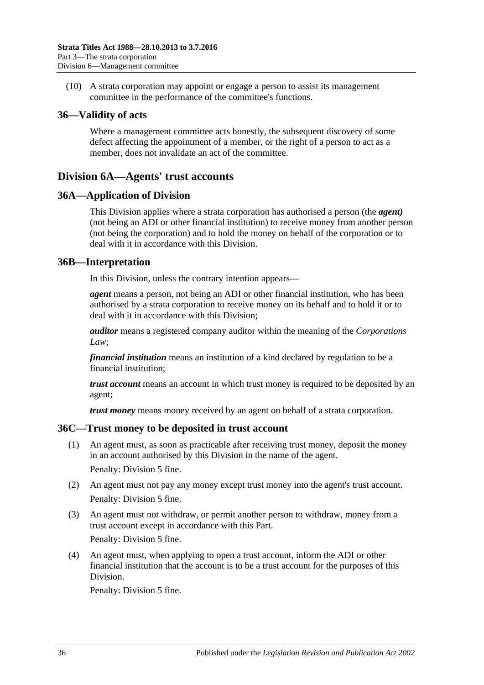(10) A strata corporation may appoint or engage a person to assist its management committee in the performance of the committee's functions.

### <span id="page-35-0"></span>**36—Validity of acts**

Where a management committee acts honestly, the subsequent discovery of some defect affecting the appointment of a member, or the right of a person to act as a member, does not invalidate an act of the committee.

## <span id="page-35-1"></span>**Division 6A—Agents' trust accounts**

### <span id="page-35-2"></span>**36A—Application of Division**

This Division applies where a strata corporation has authorised a person (the *agent)* (not being an ADI or other financial institution) to receive money from another person (not being the corporation) and to hold the money on behalf of the corporation or to deal with it in accordance with this Division.

### <span id="page-35-3"></span>**36B—Interpretation**

In this Division, unless the contrary intention appears—

*agent* means a person, not being an ADI or other financial institution, who has been authorised by a strata corporation to receive money on its behalf and to hold it or to deal with it in accordance with this Division;

*auditor* means a registered company auditor within the meaning of the *Corporations Law*;

*financial institution* means an institution of a kind declared by regulation to be a financial institution;

*trust account* means an account in which trust money is required to be deposited by an agent;

*trust money* means money received by an agent on behalf of a strata corporation.

### <span id="page-35-4"></span>**36C—Trust money to be deposited in trust account**

- (1) An agent must, as soon as practicable after receiving trust money, deposit the money in an account authorised by this Division in the name of the agent. Penalty: Division 5 fine.
- (2) An agent must not pay any money except trust money into the agent's trust account. Penalty: Division 5 fine.
- (3) An agent must not withdraw, or permit another person to withdraw, money from a trust account except in accordance with this Part.

Penalty: Division 5 fine.

(4) An agent must, when applying to open a trust account, inform the ADI or other financial institution that the account is to be a trust account for the purposes of this Division.

Penalty: Division 5 fine.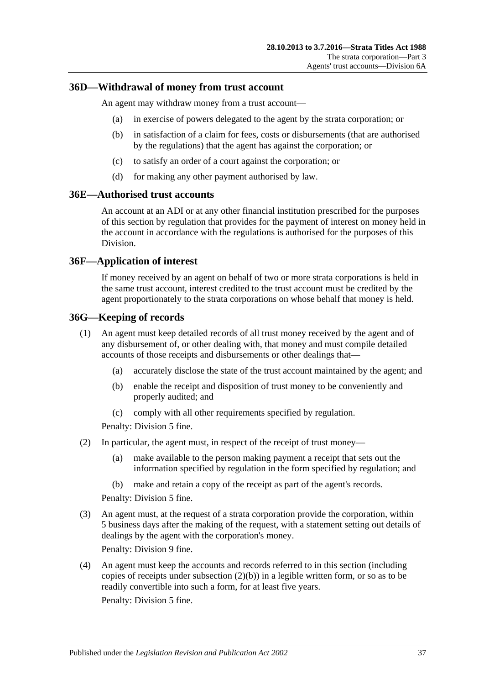### <span id="page-36-0"></span>**36D—Withdrawal of money from trust account**

An agent may withdraw money from a trust account—

- (a) in exercise of powers delegated to the agent by the strata corporation; or
- (b) in satisfaction of a claim for fees, costs or disbursements (that are authorised by the regulations) that the agent has against the corporation; or
- (c) to satisfy an order of a court against the corporation; or
- (d) for making any other payment authorised by law.

### <span id="page-36-1"></span>**36E—Authorised trust accounts**

An account at an ADI or at any other financial institution prescribed for the purposes of this section by regulation that provides for the payment of interest on money held in the account in accordance with the regulations is authorised for the purposes of this Division.

### <span id="page-36-2"></span>**36F—Application of interest**

If money received by an agent on behalf of two or more strata corporations is held in the same trust account, interest credited to the trust account must be credited by the agent proportionately to the strata corporations on whose behalf that money is held.

### <span id="page-36-3"></span>**36G—Keeping of records**

- (1) An agent must keep detailed records of all trust money received by the agent and of any disbursement of, or other dealing with, that money and must compile detailed accounts of those receipts and disbursements or other dealings that—
	- (a) accurately disclose the state of the trust account maintained by the agent; and
	- (b) enable the receipt and disposition of trust money to be conveniently and properly audited; and
	- (c) comply with all other requirements specified by regulation.

Penalty: Division 5 fine.

- <span id="page-36-4"></span>(2) In particular, the agent must, in respect of the receipt of trust money—
	- (a) make available to the person making payment a receipt that sets out the information specified by regulation in the form specified by regulation; and
	- (b) make and retain a copy of the receipt as part of the agent's records.

Penalty: Division 5 fine.

(3) An agent must, at the request of a strata corporation provide the corporation, within 5 business days after the making of the request, with a statement setting out details of dealings by the agent with the corporation's money.

Penalty: Division 9 fine.

(4) An agent must keep the accounts and records referred to in this section (including copies of receipts under [subsection](#page-36-4)  $(2)(b)$  in a legible written form, or so as to be readily convertible into such a form, for at least five years.

Penalty: Division 5 fine.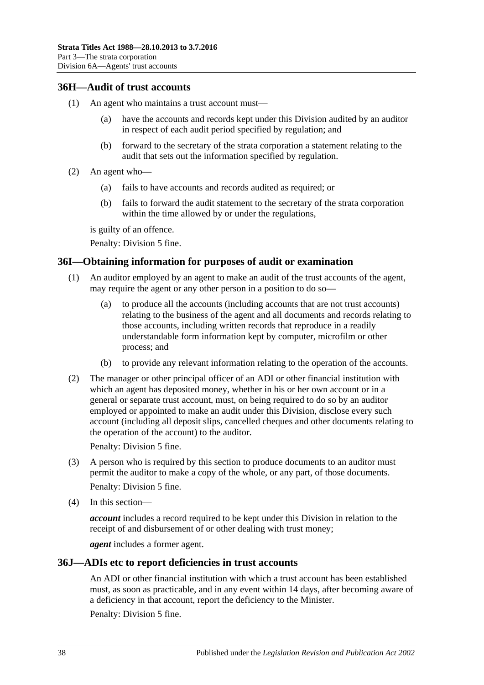## <span id="page-37-0"></span>**36H—Audit of trust accounts**

- (1) An agent who maintains a trust account must—
	- (a) have the accounts and records kept under this Division audited by an auditor in respect of each audit period specified by regulation; and
	- (b) forward to the secretary of the strata corporation a statement relating to the audit that sets out the information specified by regulation.
- (2) An agent who—
	- (a) fails to have accounts and records audited as required; or
	- (b) fails to forward the audit statement to the secretary of the strata corporation within the time allowed by or under the regulations,

is guilty of an offence.

Penalty: Division 5 fine.

## <span id="page-37-1"></span>**36I—Obtaining information for purposes of audit or examination**

- (1) An auditor employed by an agent to make an audit of the trust accounts of the agent, may require the agent or any other person in a position to do so—
	- (a) to produce all the accounts (including accounts that are not trust accounts) relating to the business of the agent and all documents and records relating to those accounts, including written records that reproduce in a readily understandable form information kept by computer, microfilm or other process; and
	- (b) to provide any relevant information relating to the operation of the accounts.
- (2) The manager or other principal officer of an ADI or other financial institution with which an agent has deposited money, whether in his or her own account or in a general or separate trust account, must, on being required to do so by an auditor employed or appointed to make an audit under this Division, disclose every such account (including all deposit slips, cancelled cheques and other documents relating to the operation of the account) to the auditor.

Penalty: Division 5 fine.

- (3) A person who is required by this section to produce documents to an auditor must permit the auditor to make a copy of the whole, or any part, of those documents. Penalty: Division 5 fine.
- (4) In this section—

*account* includes a record required to be kept under this Division in relation to the receipt of and disbursement of or other dealing with trust money;

*agent* includes a former agent.

### <span id="page-37-2"></span>**36J—ADIs etc to report deficiencies in trust accounts**

An ADI or other financial institution with which a trust account has been established must, as soon as practicable, and in any event within 14 days, after becoming aware of a deficiency in that account, report the deficiency to the Minister.

Penalty: Division 5 fine.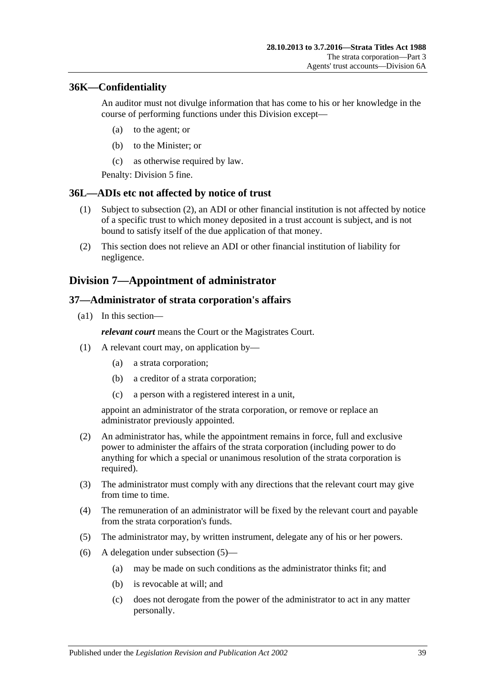## <span id="page-38-0"></span>**36K—Confidentiality**

An auditor must not divulge information that has come to his or her knowledge in the course of performing functions under this Division except—

- (a) to the agent; or
- (b) to the Minister; or
- (c) as otherwise required by law.

Penalty: Division 5 fine.

### <span id="page-38-1"></span>**36L—ADIs etc not affected by notice of trust**

- (1) Subject to [subsection](#page-38-4) (2), an ADI or other financial institution is not affected by notice of a specific trust to which money deposited in a trust account is subject, and is not bound to satisfy itself of the due application of that money.
- <span id="page-38-4"></span>(2) This section does not relieve an ADI or other financial institution of liability for negligence.

## <span id="page-38-2"></span>**Division 7—Appointment of administrator**

### <span id="page-38-3"></span>**37—Administrator of strata corporation's affairs**

(a1) In this section—

*relevant court* means the Court or the Magistrates Court.

- (1) A relevant court may, on application by—
	- (a) a strata corporation;
	- (b) a creditor of a strata corporation;
	- (c) a person with a registered interest in a unit,

appoint an administrator of the strata corporation, or remove or replace an administrator previously appointed.

- (2) An administrator has, while the appointment remains in force, full and exclusive power to administer the affairs of the strata corporation (including power to do anything for which a special or unanimous resolution of the strata corporation is required).
- (3) The administrator must comply with any directions that the relevant court may give from time to time.
- (4) The remuneration of an administrator will be fixed by the relevant court and payable from the strata corporation's funds.
- <span id="page-38-5"></span>(5) The administrator may, by written instrument, delegate any of his or her powers.
- (6) A delegation under [subsection](#page-38-5) (5)—
	- (a) may be made on such conditions as the administrator thinks fit; and
	- (b) is revocable at will; and
	- (c) does not derogate from the power of the administrator to act in any matter personally.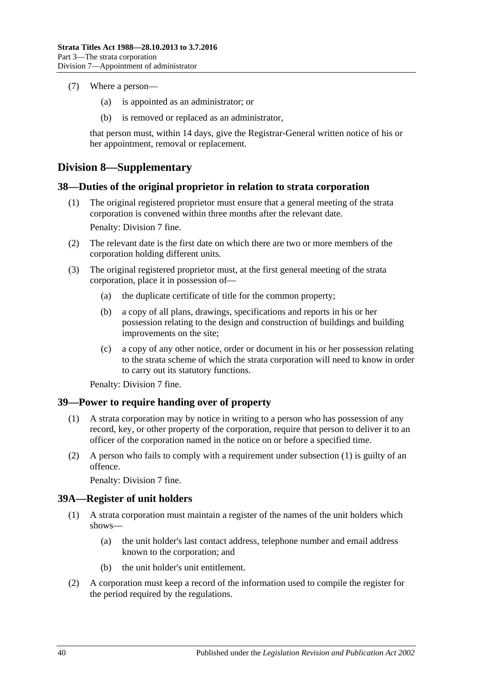- (7) Where a person—
	- (a) is appointed as an administrator; or
	- (b) is removed or replaced as an administrator,

that person must, within 14 days, give the Registrar-General written notice of his or her appointment, removal or replacement.

## <span id="page-39-0"></span>**Division 8—Supplementary**

### <span id="page-39-1"></span>**38—Duties of the original proprietor in relation to strata corporation**

(1) The original registered proprietor must ensure that a general meeting of the strata corporation is convened within three months after the relevant date.

Penalty: Division 7 fine.

- (2) The relevant date is the first date on which there are two or more members of the corporation holding different units.
- (3) The original registered proprietor must, at the first general meeting of the strata corporation, place it in possession of—
	- (a) the duplicate certificate of title for the common property;
	- (b) a copy of all plans, drawings, specifications and reports in his or her possession relating to the design and construction of buildings and building improvements on the site;
	- (c) a copy of any other notice, order or document in his or her possession relating to the strata scheme of which the strata corporation will need to know in order to carry out its statutory functions.

Penalty: Division 7 fine.

## <span id="page-39-4"></span><span id="page-39-2"></span>**39—Power to require handing over of property**

- (1) A strata corporation may by notice in writing to a person who has possession of any record, key, or other property of the corporation, require that person to deliver it to an officer of the corporation named in the notice on or before a specified time.
- (2) A person who fails to comply with a requirement under [subsection](#page-39-4) (1) is guilty of an offence.

Penalty: Division 7 fine.

## <span id="page-39-3"></span>**39A—Register of unit holders**

- (1) A strata corporation must maintain a register of the names of the unit holders which shows—
	- (a) the unit holder's last contact address, telephone number and email address known to the corporation; and
	- (b) the unit holder's unit entitlement.
- (2) A corporation must keep a record of the information used to compile the register for the period required by the regulations.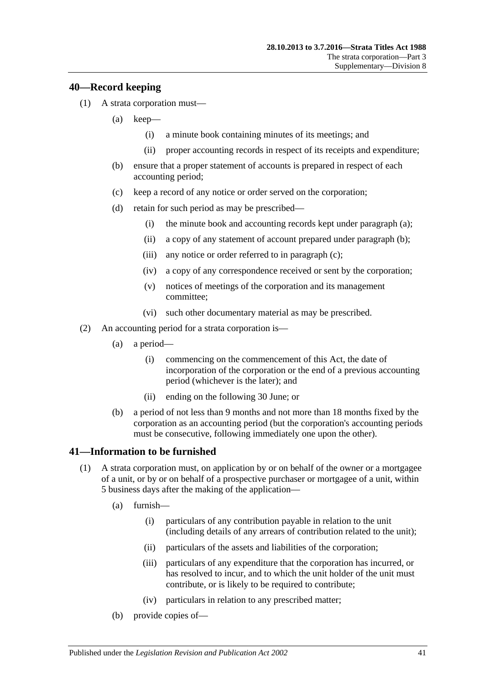### <span id="page-40-0"></span>**40—Record keeping**

- <span id="page-40-5"></span><span id="page-40-4"></span><span id="page-40-3"></span>(1) A strata corporation must—
	- (a) keep—
		- (i) a minute book containing minutes of its meetings; and
		- (ii) proper accounting records in respect of its receipts and expenditure;
	- (b) ensure that a proper statement of accounts is prepared in respect of each accounting period;
	- (c) keep a record of any notice or order served on the corporation;
	- (d) retain for such period as may be prescribed—
		- (i) the minute book and accounting records kept under [paragraph](#page-40-3) (a);
		- (ii) a copy of any statement of account prepared under [paragraph](#page-40-4) (b);
		- (iii) any notice or order referred to in [paragraph](#page-40-5) (c);
		- (iv) a copy of any correspondence received or sent by the corporation;
		- (v) notices of meetings of the corporation and its management committee;
		- (vi) such other documentary material as may be prescribed.
- <span id="page-40-2"></span>(2) An accounting period for a strata corporation is—
	- (a) a period—
		- (i) commencing on the commencement of this Act, the date of incorporation of the corporation or the end of a previous accounting period (whichever is the later); and
		- (ii) ending on the following 30 June; or
	- (b) a period of not less than 9 months and not more than 18 months fixed by the corporation as an accounting period (but the corporation's accounting periods must be consecutive, following immediately one upon the other).

## <span id="page-40-1"></span>**41—Information to be furnished**

- <span id="page-40-6"></span>(1) A strata corporation must, on application by or on behalf of the owner or a mortgagee of a unit, or by or on behalf of a prospective purchaser or mortgagee of a unit, within 5 business days after the making of the application—
	- (a) furnish—
		- (i) particulars of any contribution payable in relation to the unit (including details of any arrears of contribution related to the unit);
		- (ii) particulars of the assets and liabilities of the corporation;
		- (iii) particulars of any expenditure that the corporation has incurred, or has resolved to incur, and to which the unit holder of the unit must contribute, or is likely to be required to contribute;
		- (iv) particulars in relation to any prescribed matter;
	- (b) provide copies of—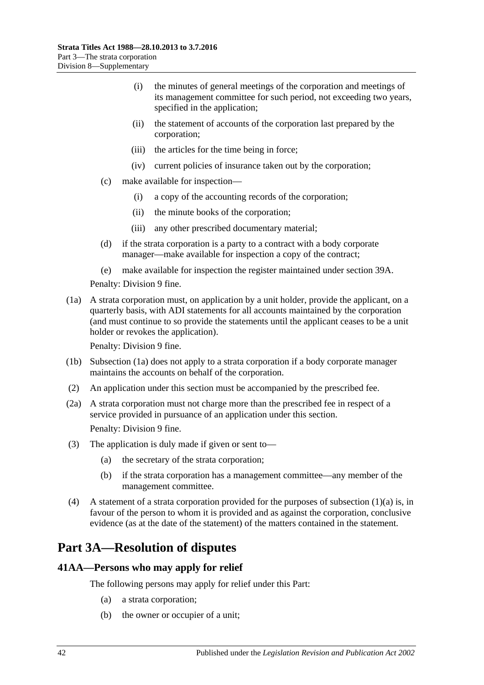- (i) the minutes of general meetings of the corporation and meetings of its management committee for such period, not exceeding two years, specified in the application;
- (ii) the statement of accounts of the corporation last prepared by the corporation;
- (iii) the articles for the time being in force;
- (iv) current policies of insurance taken out by the corporation;
- (c) make available for inspection—
	- (i) a copy of the accounting records of the corporation;
	- (ii) the minute books of the corporation;
	- (iii) any other prescribed documentary material;
- (d) if the strata corporation is a party to a contract with a body corporate manager—make available for inspection a copy of the contract;
- (e) make available for inspection the register maintained under [section](#page-39-3) 39A.

Penalty: Division 9 fine.

<span id="page-41-2"></span>(1a) A strata corporation must, on application by a unit holder, provide the applicant, on a quarterly basis, with ADI statements for all accounts maintained by the corporation (and must continue to so provide the statements until the applicant ceases to be a unit holder or revokes the application).

Penalty: Division 9 fine.

- (1b) [Subsection](#page-41-2) (1a) does not apply to a strata corporation if a body corporate manager maintains the accounts on behalf of the corporation.
- (2) An application under this section must be accompanied by the prescribed fee.
- (2a) A strata corporation must not charge more than the prescribed fee in respect of a service provided in pursuance of an application under this section. Penalty: Division 9 fine.
- (3) The application is duly made if given or sent to—
	- (a) the secretary of the strata corporation;
	- (b) if the strata corporation has a management committee—any member of the management committee.
- (4) A statement of a strata corporation provided for the purposes of [subsection](#page-40-6) (1)(a) is, in favour of the person to whom it is provided and as against the corporation, conclusive evidence (as at the date of the statement) of the matters contained in the statement.

## <span id="page-41-0"></span>**Part 3A—Resolution of disputes**

## <span id="page-41-1"></span>**41AA—Persons who may apply for relief**

The following persons may apply for relief under this Part:

- (a) a strata corporation;
- (b) the owner or occupier of a unit;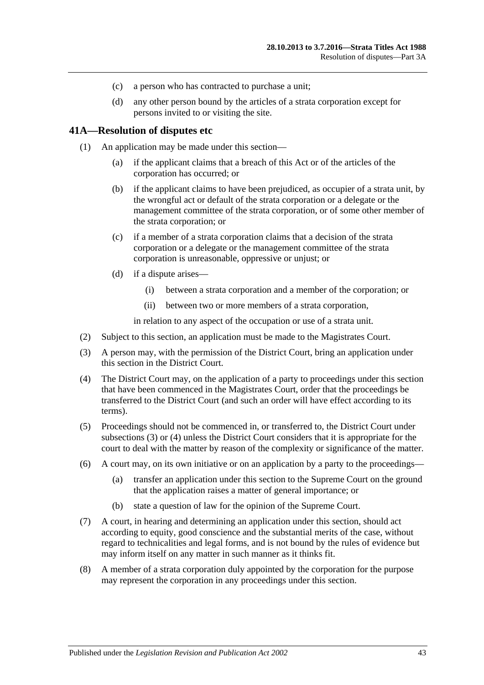- (c) a person who has contracted to purchase a unit;
- (d) any other person bound by the articles of a strata corporation except for persons invited to or visiting the site.

### <span id="page-42-0"></span>**41A—Resolution of disputes etc**

- (1) An application may be made under this section—
	- (a) if the applicant claims that a breach of this Act or of the articles of the corporation has occurred; or
	- (b) if the applicant claims to have been prejudiced, as occupier of a strata unit, by the wrongful act or default of the strata corporation or a delegate or the management committee of the strata corporation, or of some other member of the strata corporation; or
	- (c) if a member of a strata corporation claims that a decision of the strata corporation or a delegate or the management committee of the strata corporation is unreasonable, oppressive or unjust; or
	- (d) if a dispute arises—
		- (i) between a strata corporation and a member of the corporation; or
		- (ii) between two or more members of a strata corporation,

in relation to any aspect of the occupation or use of a strata unit.

- (2) Subject to this section, an application must be made to the Magistrates Court.
- <span id="page-42-1"></span>(3) A person may, with the permission of the District Court, bring an application under this section in the District Court.
- <span id="page-42-2"></span>(4) The District Court may, on the application of a party to proceedings under this section that have been commenced in the Magistrates Court, order that the proceedings be transferred to the District Court (and such an order will have effect according to its terms).
- (5) Proceedings should not be commenced in, or transferred to, the District Court under [subsections](#page-42-1) (3) or [\(4\)](#page-42-2) unless the District Court considers that it is appropriate for the court to deal with the matter by reason of the complexity or significance of the matter.
- (6) A court may, on its own initiative or on an application by a party to the proceedings—
	- (a) transfer an application under this section to the Supreme Court on the ground that the application raises a matter of general importance; or
	- (b) state a question of law for the opinion of the Supreme Court.
- (7) A court, in hearing and determining an application under this section, should act according to equity, good conscience and the substantial merits of the case, without regard to technicalities and legal forms, and is not bound by the rules of evidence but may inform itself on any matter in such manner as it thinks fit.
- (8) A member of a strata corporation duly appointed by the corporation for the purpose may represent the corporation in any proceedings under this section.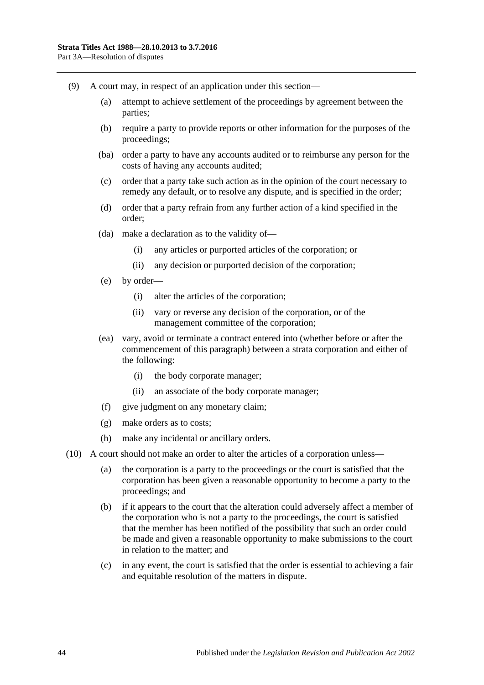- (9) A court may, in respect of an application under this section—
	- (a) attempt to achieve settlement of the proceedings by agreement between the parties;
	- (b) require a party to provide reports or other information for the purposes of the proceedings;
	- (ba) order a party to have any accounts audited or to reimburse any person for the costs of having any accounts audited;
	- (c) order that a party take such action as in the opinion of the court necessary to remedy any default, or to resolve any dispute, and is specified in the order;
	- (d) order that a party refrain from any further action of a kind specified in the order;
	- (da) make a declaration as to the validity of—
		- (i) any articles or purported articles of the corporation; or
		- (ii) any decision or purported decision of the corporation;
	- (e) by order—
		- (i) alter the articles of the corporation;
		- (ii) vary or reverse any decision of the corporation, or of the management committee of the corporation;
	- (ea) vary, avoid or terminate a contract entered into (whether before or after the commencement of this paragraph) between a strata corporation and either of the following:
		- (i) the body corporate manager;
		- (ii) an associate of the body corporate manager;
	- (f) give judgment on any monetary claim;
	- (g) make orders as to costs;
	- (h) make any incidental or ancillary orders.
- (10) A court should not make an order to alter the articles of a corporation unless—
	- (a) the corporation is a party to the proceedings or the court is satisfied that the corporation has been given a reasonable opportunity to become a party to the proceedings; and
	- (b) if it appears to the court that the alteration could adversely affect a member of the corporation who is not a party to the proceedings, the court is satisfied that the member has been notified of the possibility that such an order could be made and given a reasonable opportunity to make submissions to the court in relation to the matter; and
	- (c) in any event, the court is satisfied that the order is essential to achieving a fair and equitable resolution of the matters in dispute.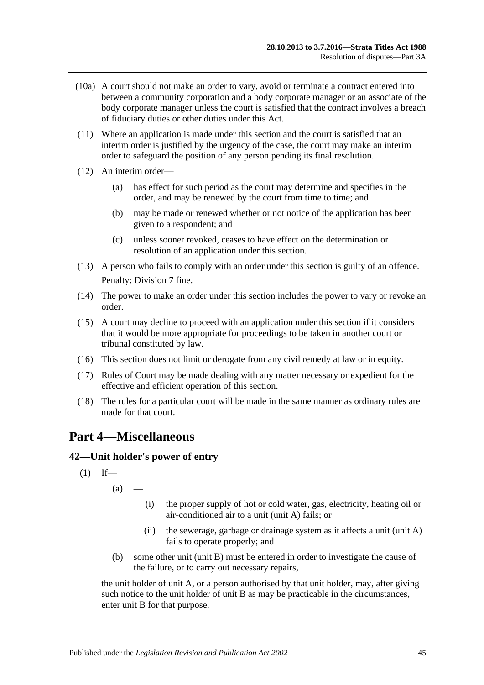- (10a) A court should not make an order to vary, avoid or terminate a contract entered into between a community corporation and a body corporate manager or an associate of the body corporate manager unless the court is satisfied that the contract involves a breach of fiduciary duties or other duties under this Act.
- (11) Where an application is made under this section and the court is satisfied that an interim order is justified by the urgency of the case, the court may make an interim order to safeguard the position of any person pending its final resolution.
- (12) An interim order—
	- (a) has effect for such period as the court may determine and specifies in the order, and may be renewed by the court from time to time; and
	- (b) may be made or renewed whether or not notice of the application has been given to a respondent; and
	- (c) unless sooner revoked, ceases to have effect on the determination or resolution of an application under this section.
- (13) A person who fails to comply with an order under this section is guilty of an offence. Penalty: Division 7 fine.
- (14) The power to make an order under this section includes the power to vary or revoke an order.
- (15) A court may decline to proceed with an application under this section if it considers that it would be more appropriate for proceedings to be taken in another court or tribunal constituted by law.
- (16) This section does not limit or derogate from any civil remedy at law or in equity.
- (17) Rules of Court may be made dealing with any matter necessary or expedient for the effective and efficient operation of this section.
- (18) The rules for a particular court will be made in the same manner as ordinary rules are made for that court.

## <span id="page-44-0"></span>**Part 4—Miscellaneous**

## <span id="page-44-1"></span>**42—Unit holder's power of entry**

$$
(1) If
$$

 $(a)$ 

- (i) the proper supply of hot or cold water, gas, electricity, heating oil or air-conditioned air to a unit (unit A) fails; or
- (ii) the sewerage, garbage or drainage system as it affects a unit (unit A) fails to operate properly; and
- (b) some other unit (unit B) must be entered in order to investigate the cause of the failure, or to carry out necessary repairs,

the unit holder of unit A, or a person authorised by that unit holder, may, after giving such notice to the unit holder of unit B as may be practicable in the circumstances, enter unit B for that purpose.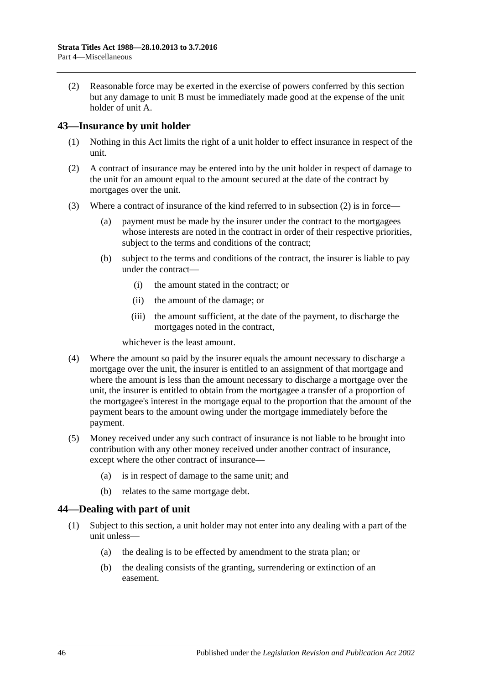(2) Reasonable force may be exerted in the exercise of powers conferred by this section but any damage to unit B must be immediately made good at the expense of the unit holder of unit A.

## <span id="page-45-0"></span>**43—Insurance by unit holder**

- (1) Nothing in this Act limits the right of a unit holder to effect insurance in respect of the unit.
- <span id="page-45-2"></span>(2) A contract of insurance may be entered into by the unit holder in respect of damage to the unit for an amount equal to the amount secured at the date of the contract by mortgages over the unit.
- (3) Where a contract of insurance of the kind referred to in [subsection](#page-45-2) (2) is in force—
	- (a) payment must be made by the insurer under the contract to the mortgagees whose interests are noted in the contract in order of their respective priorities, subject to the terms and conditions of the contract;
	- (b) subject to the terms and conditions of the contract, the insurer is liable to pay under the contract—
		- (i) the amount stated in the contract; or
		- (ii) the amount of the damage; or
		- (iii) the amount sufficient, at the date of the payment, to discharge the mortgages noted in the contract,

whichever is the least amount.

- (4) Where the amount so paid by the insurer equals the amount necessary to discharge a mortgage over the unit, the insurer is entitled to an assignment of that mortgage and where the amount is less than the amount necessary to discharge a mortgage over the unit, the insurer is entitled to obtain from the mortgagee a transfer of a proportion of the mortgagee's interest in the mortgage equal to the proportion that the amount of the payment bears to the amount owing under the mortgage immediately before the payment.
- (5) Money received under any such contract of insurance is not liable to be brought into contribution with any other money received under another contract of insurance, except where the other contract of insurance—
	- (a) is in respect of damage to the same unit; and
	- (b) relates to the same mortgage debt.

## <span id="page-45-1"></span>**44—Dealing with part of unit**

- (1) Subject to this section, a unit holder may not enter into any dealing with a part of the unit unless—
	- (a) the dealing is to be effected by amendment to the strata plan; or
	- (b) the dealing consists of the granting, surrendering or extinction of an easement.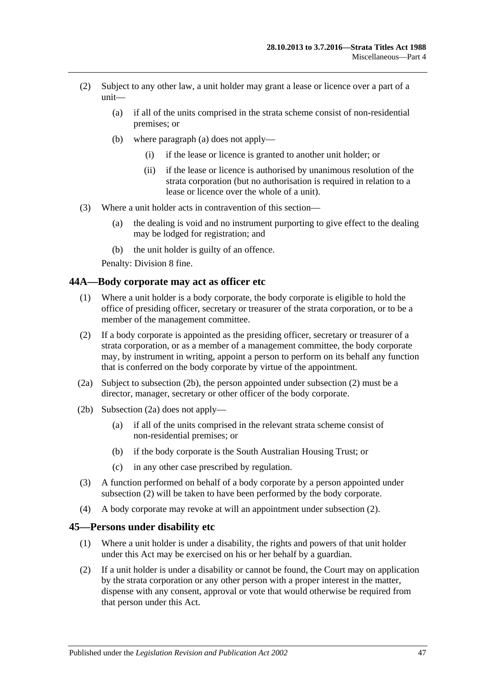- <span id="page-46-2"></span>(2) Subject to any other law, a unit holder may grant a lease or licence over a part of a unit—
	- (a) if all of the units comprised in the strata scheme consist of non-residential premises; or
	- (b) where [paragraph](#page-46-2) (a) does not apply—
		- (i) if the lease or licence is granted to another unit holder; or
		- (ii) if the lease or licence is authorised by unanimous resolution of the strata corporation (but no authorisation is required in relation to a lease or licence over the whole of a unit).
- (3) Where a unit holder acts in contravention of this section—
	- (a) the dealing is void and no instrument purporting to give effect to the dealing may be lodged for registration; and
	- (b) the unit holder is guilty of an offence.

Penalty: Division 8 fine.

### <span id="page-46-0"></span>**44A—Body corporate may act as officer etc**

- (1) Where a unit holder is a body corporate, the body corporate is eligible to hold the office of presiding officer, secretary or treasurer of the strata corporation, or to be a member of the management committee.
- <span id="page-46-4"></span>(2) If a body corporate is appointed as the presiding officer, secretary or treasurer of a strata corporation, or as a member of a management committee, the body corporate may, by instrument in writing, appoint a person to perform on its behalf any function that is conferred on the body corporate by virtue of the appointment.
- <span id="page-46-5"></span>(2a) Subject to [subsection](#page-46-3) (2b), the person appointed under [subsection](#page-46-4) (2) must be a director, manager, secretary or other officer of the body corporate.
- <span id="page-46-3"></span>(2b) [Subsection](#page-46-5) (2a) does not apply—
	- (a) if all of the units comprised in the relevant strata scheme consist of non-residential premises; or
	- (b) if the body corporate is the South Australian Housing Trust; or
	- (c) in any other case prescribed by regulation.
- (3) A function performed on behalf of a body corporate by a person appointed under [subsection](#page-46-4) (2) will be taken to have been performed by the body corporate.
- (4) A body corporate may revoke at will an appointment under [subsection](#page-46-4) (2).

### <span id="page-46-1"></span>**45—Persons under disability etc**

- (1) Where a unit holder is under a disability, the rights and powers of that unit holder under this Act may be exercised on his or her behalf by a guardian.
- (2) If a unit holder is under a disability or cannot be found, the Court may on application by the strata corporation or any other person with a proper interest in the matter, dispense with any consent, approval or vote that would otherwise be required from that person under this Act.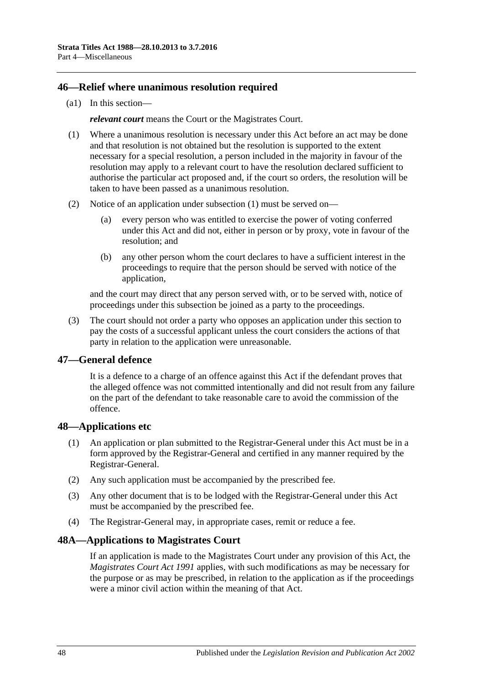### <span id="page-47-0"></span>**46—Relief where unanimous resolution required**

(a1) In this section—

*relevant court* means the Court or the Magistrates Court.

- <span id="page-47-4"></span>(1) Where a unanimous resolution is necessary under this Act before an act may be done and that resolution is not obtained but the resolution is supported to the extent necessary for a special resolution, a person included in the majority in favour of the resolution may apply to a relevant court to have the resolution declared sufficient to authorise the particular act proposed and, if the court so orders, the resolution will be taken to have been passed as a unanimous resolution.
- (2) Notice of an application under [subsection](#page-47-4) (1) must be served on—
	- (a) every person who was entitled to exercise the power of voting conferred under this Act and did not, either in person or by proxy, vote in favour of the resolution; and
	- (b) any other person whom the court declares to have a sufficient interest in the proceedings to require that the person should be served with notice of the application,

and the court may direct that any person served with, or to be served with, notice of proceedings under this subsection be joined as a party to the proceedings.

(3) The court should not order a party who opposes an application under this section to pay the costs of a successful applicant unless the court considers the actions of that party in relation to the application were unreasonable.

## <span id="page-47-1"></span>**47—General defence**

It is a defence to a charge of an offence against this Act if the defendant proves that the alleged offence was not committed intentionally and did not result from any failure on the part of the defendant to take reasonable care to avoid the commission of the offence.

## <span id="page-47-2"></span>**48—Applications etc**

- (1) An application or plan submitted to the Registrar-General under this Act must be in a form approved by the Registrar-General and certified in any manner required by the Registrar-General.
- (2) Any such application must be accompanied by the prescribed fee.
- (3) Any other document that is to be lodged with the Registrar-General under this Act must be accompanied by the prescribed fee.
- (4) The Registrar-General may, in appropriate cases, remit or reduce a fee.

## <span id="page-47-3"></span>**48A—Applications to Magistrates Court**

If an application is made to the Magistrates Court under any provision of this Act, the *[Magistrates Court Act](http://www.legislation.sa.gov.au/index.aspx?action=legref&type=act&legtitle=Magistrates%20Court%20Act%201991) 1991* applies, with such modifications as may be necessary for the purpose or as may be prescribed, in relation to the application as if the proceedings were a minor civil action within the meaning of that Act.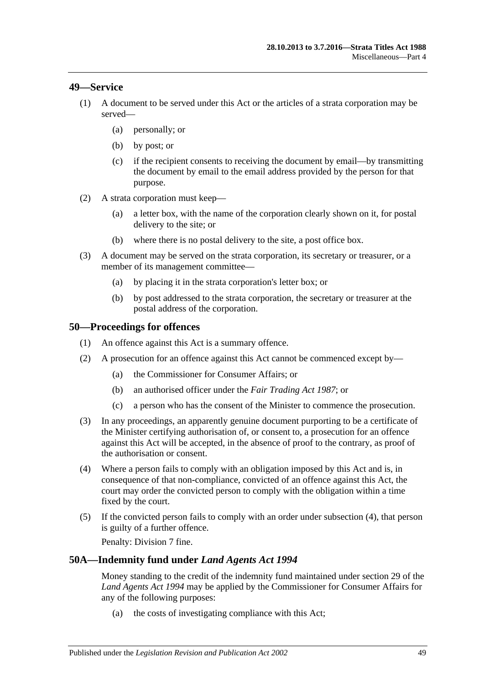### <span id="page-48-0"></span>**49—Service**

- (1) A document to be served under this Act or the articles of a strata corporation may be served—
	- (a) personally; or
	- (b) by post; or
	- (c) if the recipient consents to receiving the document by email—by transmitting the document by email to the email address provided by the person for that purpose.
- (2) A strata corporation must keep—
	- (a) a letter box, with the name of the corporation clearly shown on it, for postal delivery to the site; or
	- (b) where there is no postal delivery to the site, a post office box.
- (3) A document may be served on the strata corporation, its secretary or treasurer, or a member of its management committee—
	- (a) by placing it in the strata corporation's letter box; or
	- (b) by post addressed to the strata corporation, the secretary or treasurer at the postal address of the corporation.

### <span id="page-48-1"></span>**50—Proceedings for offences**

- (1) An offence against this Act is a summary offence.
- (2) A prosecution for an offence against this Act cannot be commenced except by—
	- (a) the Commissioner for Consumer Affairs; or
	- (b) an authorised officer under the *[Fair Trading Act](http://www.legislation.sa.gov.au/index.aspx?action=legref&type=act&legtitle=Fair%20Trading%20Act%201987) 1987*; or
	- (c) a person who has the consent of the Minister to commence the prosecution.
- (3) In any proceedings, an apparently genuine document purporting to be a certificate of the Minister certifying authorisation of, or consent to, a prosecution for an offence against this Act will be accepted, in the absence of proof to the contrary, as proof of the authorisation or consent.
- <span id="page-48-3"></span>(4) Where a person fails to comply with an obligation imposed by this Act and is, in consequence of that non-compliance, convicted of an offence against this Act, the court may order the convicted person to comply with the obligation within a time fixed by the court.
- (5) If the convicted person fails to comply with an order under [subsection](#page-48-3) (4), that person is guilty of a further offence.

Penalty: Division 7 fine.

### <span id="page-48-2"></span>**50A—Indemnity fund under** *Land Agents Act 1994*

Money standing to the credit of the indemnity fund maintained under section 29 of the *[Land Agents Act](http://www.legislation.sa.gov.au/index.aspx?action=legref&type=act&legtitle=Land%20Agents%20Act%201994) 1994* may be applied by the Commissioner for Consumer Affairs for any of the following purposes:

(a) the costs of investigating compliance with this Act;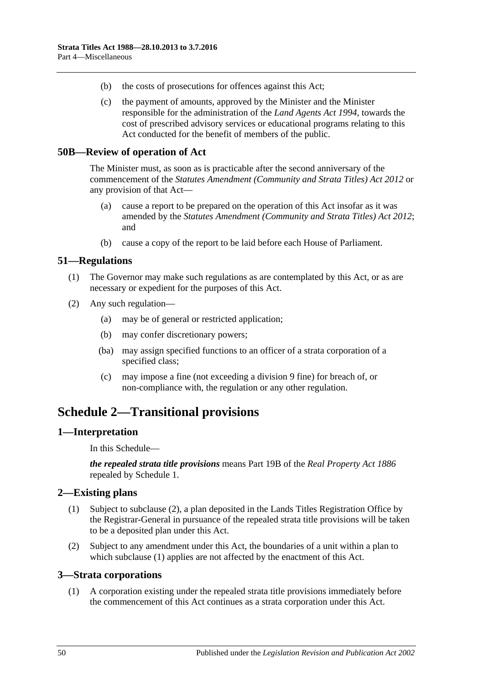- (b) the costs of prosecutions for offences against this Act;
- (c) the payment of amounts, approved by the Minister and the Minister responsible for the administration of the *[Land Agents Act](http://www.legislation.sa.gov.au/index.aspx?action=legref&type=act&legtitle=Land%20Agents%20Act%201994) 1994*, towards the cost of prescribed advisory services or educational programs relating to this Act conducted for the benefit of members of the public.

### <span id="page-49-0"></span>**50B—Review of operation of Act**

The Minister must, as soon as is practicable after the second anniversary of the commencement of the *[Statutes Amendment \(Community and Strata Titles\) Act](http://www.legislation.sa.gov.au/index.aspx?action=legref&type=act&legtitle=Statutes%20Amendment%20(Community%20and%20Strata%20Titles)%20Act%202012) 2012* or any provision of that Act—

- (a) cause a report to be prepared on the operation of this Act insofar as it was amended by the *[Statutes Amendment \(Community and Strata Titles\) Act](http://www.legislation.sa.gov.au/index.aspx?action=legref&type=act&legtitle=Statutes%20Amendment%20(Community%20and%20Strata%20Titles)%20Act%202012) 2012*; and
- (b) cause a copy of the report to be laid before each House of Parliament.

### <span id="page-49-1"></span>**51—Regulations**

- (1) The Governor may make such regulations as are contemplated by this Act, or as are necessary or expedient for the purposes of this Act.
- (2) Any such regulation—
	- (a) may be of general or restricted application;
	- (b) may confer discretionary powers;
	- (ba) may assign specified functions to an officer of a strata corporation of a specified class;
	- (c) may impose a fine (not exceeding a division 9 fine) for breach of, or non-compliance with, the regulation or any other regulation.

## <span id="page-49-2"></span>**Schedule 2—Transitional provisions**

### <span id="page-49-3"></span>**1—Interpretation**

In this Schedule—

*the repealed strata title provisions* means Part 19B of the *[Real Property Act](http://www.legislation.sa.gov.au/index.aspx?action=legref&type=act&legtitle=Real%20Property%20Act%201886) 1886* repealed by Schedule 1.

## <span id="page-49-7"></span><span id="page-49-4"></span>**2—Existing plans**

- (1) Subject to [subclause](#page-49-6) (2), a plan deposited in the Lands Titles Registration Office by the Registrar-General in pursuance of the repealed strata title provisions will be taken to be a deposited plan under this Act.
- <span id="page-49-6"></span>(2) Subject to any amendment under this Act, the boundaries of a unit within a plan to which [subclause](#page-49-7) (1) applies are not affected by the enactment of this Act.

### <span id="page-49-5"></span>**3—Strata corporations**

(1) A corporation existing under the repealed strata title provisions immediately before the commencement of this Act continues as a strata corporation under this Act.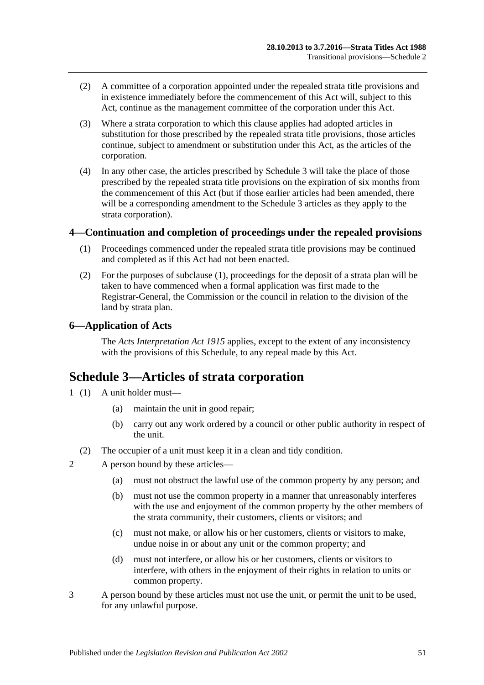- (2) A committee of a corporation appointed under the repealed strata title provisions and in existence immediately before the commencement of this Act will, subject to this Act, continue as the management committee of the corporation under this Act.
- (3) Where a strata corporation to which this clause applies had adopted articles in substitution for those prescribed by the repealed strata title provisions, those articles continue, subject to amendment or substitution under this Act, as the articles of the corporation.
- (4) In any other case, the articles prescribed by [Schedule 3](#page-50-2) will take the place of those prescribed by the repealed strata title provisions on the expiration of six months from the commencement of this Act (but if those earlier articles had been amended, there will be a corresponding amendment to the [Schedule 3](#page-50-2) articles as they apply to the strata corporation).

## <span id="page-50-3"></span><span id="page-50-0"></span>**4—Continuation and completion of proceedings under the repealed provisions**

- (1) Proceedings commenced under the repealed strata title provisions may be continued and completed as if this Act had not been enacted.
- (2) For the purposes of [subclause](#page-50-3) (1), proceedings for the deposit of a strata plan will be taken to have commenced when a formal application was first made to the Registrar-General, the Commission or the council in relation to the division of the land by strata plan.

## <span id="page-50-1"></span>**6—Application of Acts**

The *[Acts Interpretation Act](http://www.legislation.sa.gov.au/index.aspx?action=legref&type=act&legtitle=Acts%20Interpretation%20Act%201915) 1915* applies, except to the extent of any inconsistency with the provisions of this Schedule, to any repeal made by this Act.

## <span id="page-50-2"></span>**Schedule 3—Articles of strata corporation**

- 1 (1) A unit holder must—
	- (a) maintain the unit in good repair;
	- (b) carry out any work ordered by a council or other public authority in respect of the unit.
	- (2) The occupier of a unit must keep it in a clean and tidy condition.
- 2 A person bound by these articles—
	- (a) must not obstruct the lawful use of the common property by any person; and
	- (b) must not use the common property in a manner that unreasonably interferes with the use and enjoyment of the common property by the other members of the strata community, their customers, clients or visitors; and
	- (c) must not make, or allow his or her customers, clients or visitors to make, undue noise in or about any unit or the common property; and
	- (d) must not interfere, or allow his or her customers, clients or visitors to interfere, with others in the enjoyment of their rights in relation to units or common property.
- 3 A person bound by these articles must not use the unit, or permit the unit to be used, for any unlawful purpose.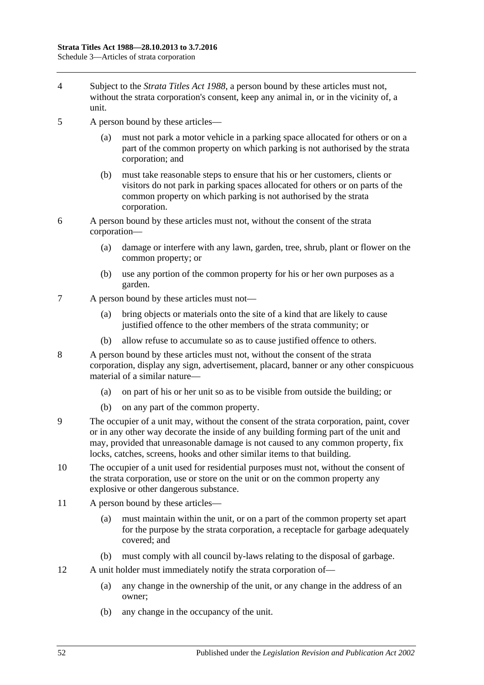- 4 Subject to the *[Strata Titles Act](http://www.legislation.sa.gov.au/index.aspx?action=legref&type=act&legtitle=Strata%20Titles%20Act%201988) 1988*, a person bound by these articles must not, without the strata corporation's consent, keep any animal in, or in the vicinity of, a unit.
- 5 A person bound by these articles
	- must not park a motor vehicle in a parking space allocated for others or on a part of the common property on which parking is not authorised by the strata corporation; and
	- (b) must take reasonable steps to ensure that his or her customers, clients or visitors do not park in parking spaces allocated for others or on parts of the common property on which parking is not authorised by the strata corporation.
- 6 A person bound by these articles must not, without the consent of the strata corporation—
	- (a) damage or interfere with any lawn, garden, tree, shrub, plant or flower on the common property; or
	- (b) use any portion of the common property for his or her own purposes as a garden.
- 7 A person bound by these articles must not—
	- (a) bring objects or materials onto the site of a kind that are likely to cause justified offence to the other members of the strata community; or
	- (b) allow refuse to accumulate so as to cause justified offence to others.
- 8 A person bound by these articles must not, without the consent of the strata corporation, display any sign, advertisement, placard, banner or any other conspicuous material of a similar nature—
	- (a) on part of his or her unit so as to be visible from outside the building; or
	- (b) on any part of the common property.
- 9 The occupier of a unit may, without the consent of the strata corporation, paint, cover or in any other way decorate the inside of any building forming part of the unit and may, provided that unreasonable damage is not caused to any common property, fix locks, catches, screens, hooks and other similar items to that building.
- 10 The occupier of a unit used for residential purposes must not, without the consent of the strata corporation, use or store on the unit or on the common property any explosive or other dangerous substance.
- 11 A person bound by these articles—
	- (a) must maintain within the unit, or on a part of the common property set apart for the purpose by the strata corporation, a receptacle for garbage adequately covered; and
	- (b) must comply with all council by-laws relating to the disposal of garbage.
- 12 A unit holder must immediately notify the strata corporation of—
	- (a) any change in the ownership of the unit, or any change in the address of an owner;
	- (b) any change in the occupancy of the unit.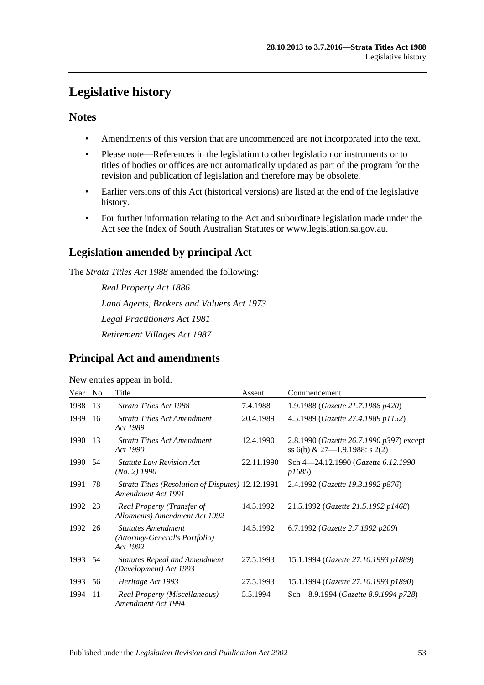## <span id="page-52-0"></span>**Legislative history**

## **Notes**

- Amendments of this version that are uncommenced are not incorporated into the text.
- Please note—References in the legislation to other legislation or instruments or to titles of bodies or offices are not automatically updated as part of the program for the revision and publication of legislation and therefore may be obsolete.
- Earlier versions of this Act (historical versions) are listed at the end of the legislative history.
- For further information relating to the Act and subordinate legislation made under the Act see the Index of South Australian Statutes or www.legislation.sa.gov.au.

## **Legislation amended by principal Act**

The *Strata Titles Act 1988* amended the following:

*Real Property Act 1886 Land Agents, Brokers and Valuers Act 1973 Legal Practitioners Act 1981 Retirement Villages Act 1987*

## **Principal Act and amendments**

#### New entries appear in bold.

| Year    | N <sub>0</sub> | Title                                                                   | Assent     | Commencement                                                                       |
|---------|----------------|-------------------------------------------------------------------------|------------|------------------------------------------------------------------------------------|
| 1988    | 13             | Strata Titles Act 1988                                                  | 7.4.1988   | 1.9.1988 (Gazette 21.7.1988 p420)                                                  |
| 1989    | 16             | Strata Titles Act Amendment<br>Act 1989                                 | 20.4.1989  | 4.5.1989 (Gazette 27.4.1989 p1152)                                                 |
| 1990    | 13             | Strata Titles Act Amendment<br>Act 1990                                 | 12.4.1990  | 2.8.1990 ( <i>Gazette 26.7.1990 p397</i> ) except<br>ss 6(b) & 27-1.9.1988: s 2(2) |
| 1990    | 54             | <b>Statute Law Revision Act</b><br>(No. 2) 1990                         | 22.11.1990 | Sch 4-24.12.1990 (Gazette 6.12.1990<br><i>p1685</i> )                              |
| 1991    | 78             | Strata Titles (Resolution of Disputes) 12.12.1991<br>Amendment Act 1991 |            | 2.4.1992 (Gazette 19.3.1992 p876)                                                  |
| 1992 23 |                | Real Property (Transfer of<br>Allotments) Amendment Act 1992            | 14.5.1992  | 21.5.1992 (Gazette 21.5.1992 p1468)                                                |
| 1992    | 26             | <b>Statutes Amendment</b><br>(Attorney-General's Portfolio)<br>Act 1992 | 14.5.1992  | 6.7.1992 (Gazette 2.7.1992 p209)                                                   |
| 1993    | 54             | <b>Statutes Repeal and Amendment</b><br>(Development) Act 1993          | 27.5.1993  | 15.1.1994 (Gazette 27.10.1993 p1889)                                               |
| 1993    | 56             | Heritage Act 1993                                                       | 27.5.1993  | 15.1.1994 (Gazette 27.10.1993 p1890)                                               |
| 1994    | 11             | Real Property (Miscellaneous)<br>Amendment Act 1994                     | 5.5.1994   | Sch-8.9.1994 (Gazette 8.9.1994 p728)                                               |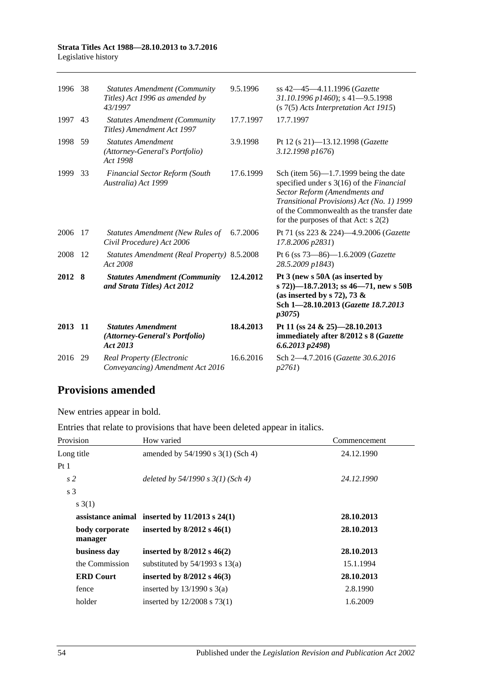#### **Strata Titles Act 1988—28.10.2013 to 3.7.2016** Legislative history

| 1996   | 38   | <b>Statutes Amendment (Community</b><br>Titles) Act 1996 as amended by<br>43/1997 | 9.5.1996  | ss 42–45–4.11.1996 (Gazette<br>31.10.1996 p1460); s 41-9.5.1998<br>$(s 7(5)$ Acts Interpretation Act 1915)                                                                                                                                               |
|--------|------|-----------------------------------------------------------------------------------|-----------|----------------------------------------------------------------------------------------------------------------------------------------------------------------------------------------------------------------------------------------------------------|
| 1997   | 43   | <b>Statutes Amendment (Community</b><br>Titles) Amendment Act 1997                | 17.7.1997 | 17.7.1997                                                                                                                                                                                                                                                |
| 1998   | 59   | <b>Statutes Amendment</b><br>(Attorney-General's Portfolio)<br>Act 1998           | 3.9.1998  | Pt 12 (s 21)-13.12.1998 (Gazette<br>3.12.1998 p1676)                                                                                                                                                                                                     |
| 1999   | 33   | <b>Financial Sector Reform (South</b><br>Australia) Act 1999                      | 17.6.1999 | Sch (item $56$ )—1.7.1999 being the date<br>specified under s 3(16) of the Financial<br>Sector Reform (Amendments and<br>Transitional Provisions) Act (No. 1) 1999<br>of the Commonwealth as the transfer date<br>for the purposes of that Act: $s$ 2(2) |
| 2006   | 17   | Statutes Amendment (New Rules of<br>Civil Procedure) Act 2006                     | 6.7.2006  | Pt 71 (ss 223 & 224)-4.9.2006 (Gazette<br>17.8.2006 p2831)                                                                                                                                                                                               |
| 2008   | 12   | <b>Statutes Amendment (Real Property) 8.5.2008</b><br>Act 2008                    |           | Pt 6 (ss 73-86)-1.6.2009 (Gazette<br>28.5.2009 p1843)                                                                                                                                                                                                    |
| 2012 8 |      | <b>Statutes Amendment (Community</b><br>and Strata Titles) Act 2012               | 12.4.2012 | Pt 3 (new s 50A (as inserted by<br>s 72))-18.7.2013; ss 46-71, new s 50B<br>(as inserted by s 72), 73 $\&$<br>Sch 1-28.10.2013 (Gazette 18.7.2013<br><i>p</i> 3075)                                                                                      |
| 2013   | - 11 | <b>Statutes Amendment</b><br>(Attorney-General's Portfolio)<br>Act 2013           | 18.4.2013 | Pt 11 (ss 24 & 25)-28.10.2013<br>immediately after 8/2012 s 8 (Gazette<br>$6.6.2013$ $p2498$ )                                                                                                                                                           |
| 2016   | 29   | Real Property (Electronic<br>Conveyancing) Amendment Act 2016                     | 16.6.2016 | Sch 2-4.7.2016 (Gazette 30.6.2016<br>p2761                                                                                                                                                                                                               |

## **Provisions amended**

New entries appear in bold.

Entries that relate to provisions that have been deleted appear in italics.

| Provision                 | How varied                                        | Commencement |
|---------------------------|---------------------------------------------------|--------------|
| Long title                | amended by 54/1990 s 3(1) (Sch 4)                 | 24.12.1990   |
| Pt <sub>1</sub>           |                                                   |              |
| s <sub>2</sub>            | deleted by $54/1990 s 3(1)$ (Sch 4)               | 24.12.1990   |
| s <sub>3</sub>            |                                                   |              |
| s(3(1))                   |                                                   |              |
|                           | assistance animal inserted by $11/2013$ s $24(1)$ | 28.10.2013   |
| body corporate<br>manager | inserted by $8/2012$ s $46(1)$                    | 28.10.2013   |
| business day              | inserted by $8/2012$ s $46(2)$                    | 28.10.2013   |
| the Commission            | substituted by $54/1993$ s $13(a)$                | 15.1.1994    |
| <b>ERD Court</b>          | inserted by $8/2012$ s $46(3)$                    | 28.10.2013   |
| fence                     | inserted by $13/1990$ s $3(a)$                    | 2.8.1990     |
| holder                    | inserted by $12/2008$ s 73(1)                     | 1.6.2009     |
|                           |                                                   |              |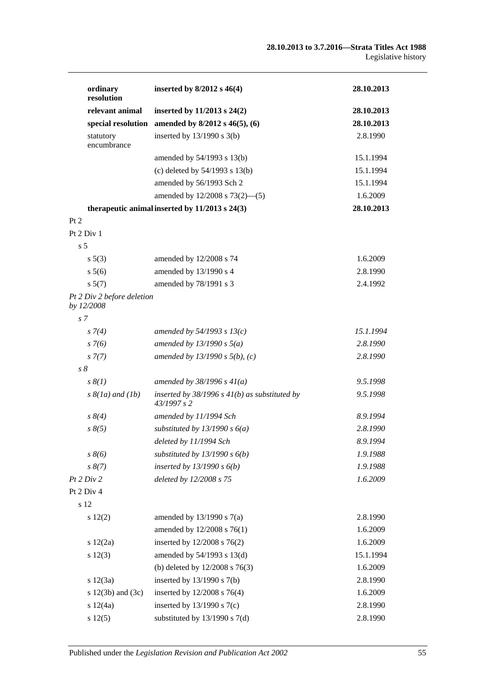| ordinary<br>resolution                   | inserted by $8/2012$ s $46(4)$                                   | 28.10.2013 |
|------------------------------------------|------------------------------------------------------------------|------------|
| relevant animal                          | inserted by 11/2013 s 24(2)                                      | 28.10.2013 |
| special resolution                       | amended by 8/2012 s 46(5), (6)                                   | 28.10.2013 |
| statutory<br>encumbrance                 | inserted by $13/1990$ s $3(b)$                                   | 2.8.1990   |
|                                          | amended by 54/1993 s 13(b)                                       | 15.1.1994  |
|                                          | (c) deleted by $54/1993$ s $13(b)$                               | 15.1.1994  |
|                                          | amended by 56/1993 Sch 2                                         | 15.1.1994  |
|                                          | amended by 12/2008 s 73(2)-(5)                                   | 1.6.2009   |
|                                          | therapeutic animal inserted by $11/2013$ s $24(3)$               | 28.10.2013 |
| Pt 2                                     |                                                                  |            |
| Pt 2 Div 1                               |                                                                  |            |
| s <sub>5</sub>                           |                                                                  |            |
| $s\ 5(3)$                                | amended by 12/2008 s 74                                          | 1.6.2009   |
| s 5(6)                                   | amended by 13/1990 s 4                                           | 2.8.1990   |
| s 5(7)                                   | amended by 78/1991 s 3                                           | 2.4.1992   |
| Pt 2 Div 2 before deletion<br>by 12/2008 |                                                                  |            |
| s <sub>7</sub>                           |                                                                  |            |
| $s \, 7(4)$                              | amended by 54/1993 s $13(c)$                                     | 15.1.1994  |
| $s \, 7(6)$                              | amended by $13/1990 s 5(a)$                                      | 2.8.1990   |
| $s \, 7(7)$                              | amended by $13/1990 s 5(b)$ , (c)                                | 2.8.1990   |
| $s\,\delta$                              |                                                                  |            |
| $s \, \mathcal{S}(1)$                    | amended by $38/1996 s 41(a)$                                     | 9.5.1998   |
| $s \& (1a)$ and $(1b)$                   | inserted by $38/1996$ s $41(b)$ as substituted by<br>43/1997 s 2 | 9.5.1998   |
| $s \, 8(4)$                              | amended by 11/1994 Sch                                           | 8.9.1994   |
| $s \, 8(5)$                              | substituted by $13/1990 s 6(a)$                                  | 2.8.1990   |
|                                          | deleted by 11/1994 Sch                                           | 8.9.1994   |
| $s \, 8(6)$                              | substituted by $13/1990 s 6(b)$                                  | 1.9.1988   |
| $s \, 8(7)$                              | inserted by $13/1990 s 6(b)$                                     | 1.9.1988   |
| Pt 2 Div 2                               | deleted by 12/2008 s 75                                          | 1.6.2009   |
| Pt 2 Div 4                               |                                                                  |            |
| s 12                                     |                                                                  |            |
| $s\ 12(2)$                               | amended by $13/1990$ s $7(a)$                                    | 2.8.1990   |
|                                          | amended by 12/2008 s 76(1)                                       | 1.6.2009   |
| s 12(2a)                                 | inserted by 12/2008 s 76(2)                                      | 1.6.2009   |
| $s\ 12(3)$                               | amended by $54/1993$ s $13(d)$                                   | 15.1.1994  |
|                                          | (b) deleted by $12/2008$ s $76(3)$                               | 1.6.2009   |
| s 12(3a)                                 | inserted by 13/1990 s 7(b)                                       | 2.8.1990   |
| s $12(3b)$ and $(3c)$                    | inserted by 12/2008 s 76(4)                                      | 1.6.2009   |
| s 12(4a)                                 | inserted by $13/1990$ s $7(c)$                                   | 2.8.1990   |
| s 12(5)                                  | substituted by $13/1990$ s $7(d)$                                | 2.8.1990   |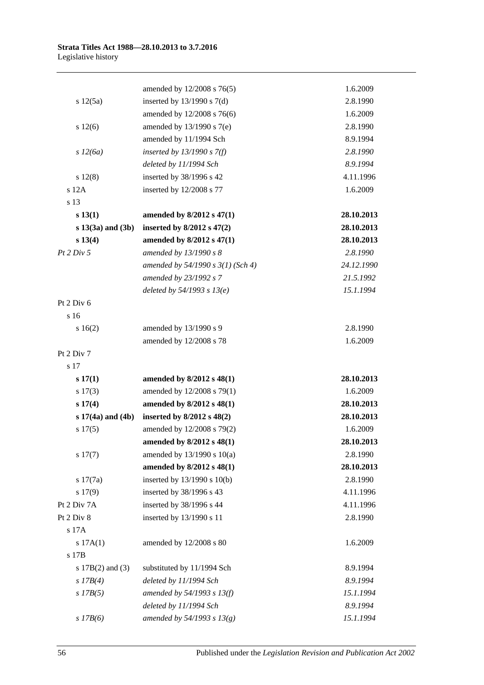|                       | amended by 12/2008 s 76(5)          | 1.6.2009   |
|-----------------------|-------------------------------------|------------|
| s 12(5a)              | inserted by $13/1990$ s $7(d)$      | 2.8.1990   |
|                       | amended by 12/2008 s 76(6)          | 1.6.2009   |
| s 12(6)               | amended by 13/1990 s 7(e)           | 2.8.1990   |
|                       | amended by 11/1994 Sch              | 8.9.1994   |
| s 12(6a)              | inserted by $13/1990 s 7(f)$        | 2.8.1990   |
|                       | deleted by 11/1994 Sch              | 8.9.1994   |
| s 12(8)               | inserted by 38/1996 s 42            | 4.11.1996  |
| s 12A                 | inserted by 12/2008 s 77            | 1.6.2009   |
| s 13                  |                                     |            |
| s 13(1)               | amended by 8/2012 s 47(1)           | 28.10.2013 |
| $s 13(3a)$ and $(3b)$ | inserted by $8/2012$ s $47(2)$      | 28.10.2013 |
| s 13(4)               | amended by 8/2012 s 47(1)           | 28.10.2013 |
| Pt 2 Div 5            | amended by 13/1990 s 8              | 2.8.1990   |
|                       | amended by $54/1990 s 3(1)$ (Sch 4) | 24.12.1990 |
|                       | amended by 23/1992 s 7              | 21.5.1992  |
|                       | deleted by $54/1993 s 13(e)$        | 15.1.1994  |
| Pt 2 Div 6            |                                     |            |
| s 16                  |                                     |            |
| s16(2)                | amended by 13/1990 s 9              | 2.8.1990   |
|                       | amended by 12/2008 s 78             | 1.6.2009   |
| Pt 2 Div 7            |                                     |            |
| s 17                  |                                     |            |
| s 17(1)               | amended by 8/2012 s 48(1)           | 28.10.2013 |
| $s\ 17(3)$            | amended by 12/2008 s 79(1)          | 1.6.2009   |
| s 17(4)               | amended by 8/2012 s 48(1)           | 28.10.2013 |
| $s 17(4a)$ and $(4b)$ | inserted by $8/2012$ s $48(2)$      | 28.10.2013 |
| s 17(5)               | amended by 12/2008 s 79(2)          | 1.6.2009   |
|                       | amended by 8/2012 s 48(1)           | 28.10.2013 |
| s 17(7)               | amended by $13/1990$ s $10(a)$      | 2.8.1990   |
|                       | amended by 8/2012 s 48(1)           | 28.10.2013 |
| s 17(7a)              | inserted by 13/1990 s 10(b)         | 2.8.1990   |
| s 17(9)               | inserted by 38/1996 s 43            | 4.11.1996  |
| Pt 2 Div 7A           | inserted by 38/1996 s 44            | 4.11.1996  |
| Pt 2 Div 8            | inserted by 13/1990 s 11            | 2.8.1990   |
| s 17A                 |                                     |            |
| s 17A(1)              | amended by 12/2008 s 80             | 1.6.2009   |
| s 17B                 |                                     |            |
| s $17B(2)$ and $(3)$  | substituted by 11/1994 Sch          | 8.9.1994   |
| $s$ 17B(4)            | deleted by 11/1994 Sch              | 8.9.1994   |
| $s$ 17B(5)            | amended by $54/1993 s 13(f)$        | 15.1.1994  |
|                       | deleted by 11/1994 Sch              | 8.9.1994   |
| $s$ 17B(6)            | amended by $54/1993 s 13(g)$        | 15.1.1994  |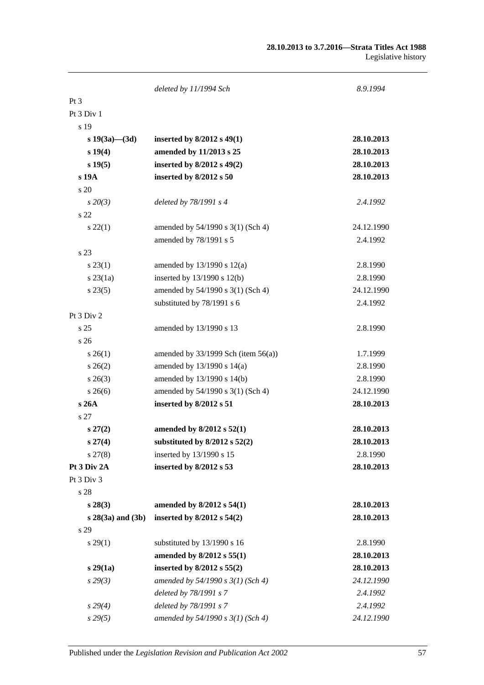|                       | deleted by 11/1994 Sch                   | 8.9.1994   |
|-----------------------|------------------------------------------|------------|
| Pt <sub>3</sub>       |                                          |            |
| Pt 3 Div 1            |                                          |            |
| s 19                  |                                          |            |
| s $19(3a)$ — $(3d)$   | inserted by $8/2012$ s $49(1)$           | 28.10.2013 |
| s 19(4)               | amended by 11/2013 s 25                  | 28.10.2013 |
| $s\,19(5)$            | inserted by 8/2012 s 49(2)               | 28.10.2013 |
| s 19A                 | inserted by 8/2012 s 50                  | 28.10.2013 |
| s 20                  |                                          |            |
| $s\,20(3)$            | deleted by 78/1991 s 4                   | 2.4.1992   |
| s 22                  |                                          |            |
| $s\,22(1)$            | amended by 54/1990 s 3(1) (Sch 4)        | 24.12.1990 |
|                       | amended by 78/1991 s 5                   | 2.4.1992   |
| s 23                  |                                          |            |
| $s\,23(1)$            | amended by $13/1990$ s $12(a)$           | 2.8.1990   |
| $s \, 23(1a)$         | inserted by $13/1990$ s $12(b)$          | 2.8.1990   |
| $s\,23(5)$            | amended by 54/1990 s 3(1) (Sch 4)        | 24.12.1990 |
|                       | substituted by 78/1991 s 6               | 2.4.1992   |
| Pt 3 Div 2            |                                          |            |
| s <sub>25</sub>       | amended by 13/1990 s 13                  | 2.8.1990   |
| s 26                  |                                          |            |
| $s \, 26(1)$          | amended by $33/1999$ Sch (item $56(a)$ ) | 1.7.1999   |
| $s \, 26(2)$          | amended by 13/1990 s 14(a)               | 2.8.1990   |
| $s \; 26(3)$          | amended by 13/1990 s 14(b)               | 2.8.1990   |
| $s \; 26(6)$          | amended by 54/1990 s 3(1) (Sch 4)        | 24.12.1990 |
| s 26A                 | inserted by 8/2012 s 51                  | 28.10.2013 |
| s 27                  |                                          |            |
| $s\,27(2)$            | amended by 8/2012 s 52(1)                | 28.10.2013 |
| $s\,27(4)$            | substituted by $8/2012$ s $52(2)$        | 28.10.2013 |
| $s\,27(8)$            | inserted by 13/1990 s 15                 | 2.8.1990   |
| Pt 3 Div 2A           | inserted by 8/2012 s 53                  | 28.10.2013 |
| Pt 3 Div 3            |                                          |            |
| s 28                  |                                          |            |
| $s\,28(3)$            | amended by 8/2012 s 54(1)                | 28.10.2013 |
| $s 28(3a)$ and $(3b)$ | inserted by $8/2012$ s $54(2)$           | 28.10.2013 |
| s 29                  |                                          |            |
| $s\,29(1)$            | substituted by 13/1990 s 16              | 2.8.1990   |
|                       | amended by 8/2012 s 55(1)                | 28.10.2013 |
| s29(1a)               | inserted by 8/2012 s 55(2)               | 28.10.2013 |
| $s\,29(3)$            | amended by 54/1990 s 3(1) (Sch 4)        | 24.12.1990 |
|                       | deleted by 78/1991 s 7                   | 2.4.1992   |
| s 29(4)               | deleted by 78/1991 s 7                   | 2.4.1992   |
| s29(5)                | amended by 54/1990 s 3(1) (Sch 4)        | 24.12.1990 |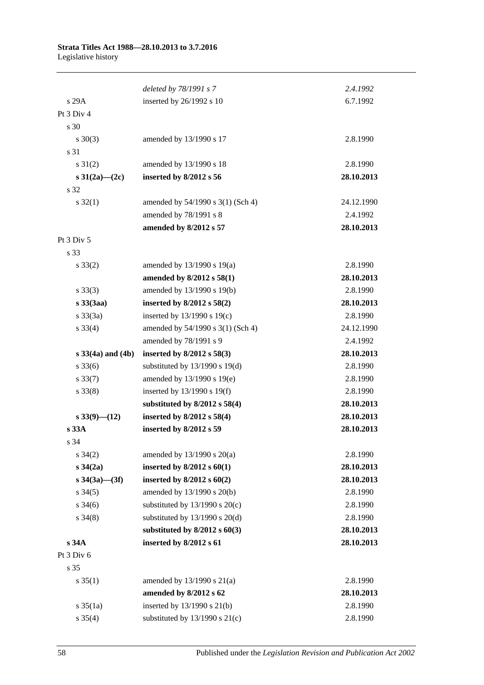|                          | deleted by 78/1991 s 7             | 2.4.1992   |
|--------------------------|------------------------------------|------------|
| s 29A                    | inserted by 26/1992 s 10           | 6.7.1992   |
| Pt 3 Div 4               |                                    |            |
| s 30                     |                                    |            |
| $s \ 30(3)$              | amended by 13/1990 s 17            | 2.8.1990   |
| s 31                     |                                    |            |
| $s \ 31(2)$              | amended by 13/1990 s 18            | 2.8.1990   |
| s $31(2a) - (2c)$        | inserted by 8/2012 s 56            | 28.10.2013 |
| s 32                     |                                    |            |
| $s \, 32(1)$             | amended by 54/1990 s 3(1) (Sch 4)  | 24.12.1990 |
|                          | amended by 78/1991 s 8             | 2.4.1992   |
|                          | amended by 8/2012 s 57             | 28.10.2013 |
| Pt 3 Div 5               |                                    |            |
| s 33                     |                                    |            |
| $s \, 33(2)$             | amended by $13/1990$ s $19(a)$     | 2.8.1990   |
|                          | amended by 8/2012 s 58(1)          | 28.10.2013 |
| $s \, 33(3)$             | amended by 13/1990 s 19(b)         | 2.8.1990   |
| $s\,33(3aa)$             | inserted by $8/2012$ s $58(2)$     | 28.10.2013 |
| $s \, 33(3a)$            | inserted by $13/1990$ s $19(c)$    | 2.8.1990   |
| $s \, 33(4)$             | amended by 54/1990 s 3(1) (Sch 4)  | 24.12.1990 |
|                          | amended by 78/1991 s 9             | 2.4.1992   |
| $s \, 33(4a)$ and $(4b)$ | inserted by $8/2012$ s $58(3)$     | 28.10.2013 |
| $s \, 33(6)$             | substituted by $13/1990$ s $19(d)$ | 2.8.1990   |
| $s \, 33(7)$             | amended by 13/1990 s 19(e)         | 2.8.1990   |
| $s \, 33(8)$             | inserted by $13/1990$ s $19(f)$    | 2.8.1990   |
|                          | substituted by $8/2012$ s $58(4)$  | 28.10.2013 |
| $s\,33(9)$ - (12)        | inserted by 8/2012 s 58(4)         | 28.10.2013 |
| s 33A                    | inserted by 8/2012 s 59            | 28.10.2013 |
| s 34                     |                                    |            |
| $s \; 34(2)$             | amended by $13/1990$ s $20(a)$     | 2.8.1990   |
| $s \, 34(2a)$            | inserted by $8/2012$ s $60(1)$     | 28.10.2013 |
| s $34(3a)$ (3f)          | inserted by $8/2012$ s $60(2)$     | 28.10.2013 |
| $s \; 34(5)$             | amended by 13/1990 s 20(b)         | 2.8.1990   |
| $s \; 34(6)$             | substituted by $13/1990$ s $20(c)$ | 2.8.1990   |
| $s \; 34(8)$             | substituted by $13/1990$ s $20(d)$ | 2.8.1990   |
|                          | substituted by $8/2012$ s $60(3)$  | 28.10.2013 |
| s 34A                    | inserted by 8/2012 s 61            | 28.10.2013 |
| Pt 3 Div 6               |                                    |            |
| s 35                     |                                    |            |
| $s \, 35(1)$             | amended by $13/1990$ s $21(a)$     | 2.8.1990   |
|                          | amended by 8/2012 s 62             | 28.10.2013 |
| $s \frac{35}{1a}$        | inserted by $13/1990$ s $21(b)$    | 2.8.1990   |
| $s \; 35(4)$             | substituted by $13/1990$ s $21(c)$ | 2.8.1990   |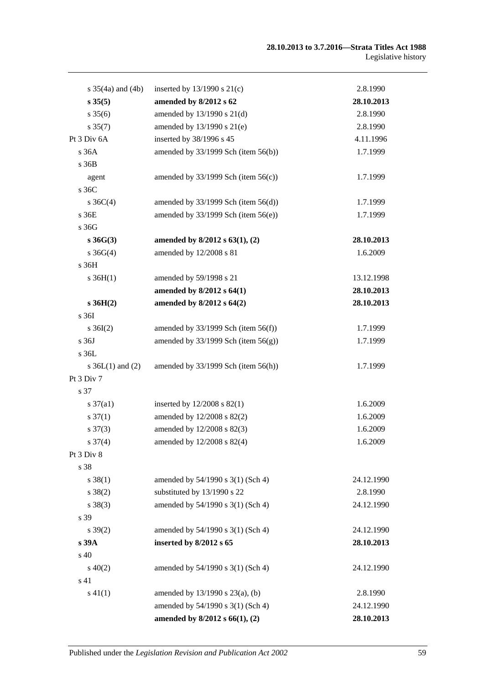#### **28.10.2013 to 3.7.2016—Strata Titles Act 1988** Legislative history

| s $35(4a)$ and $(4b)$ | inserted by $13/1990$ s $21(c)$          | 2.8.1990   |
|-----------------------|------------------------------------------|------------|
| s 35(5)               | amended by 8/2012 s 62                   | 28.10.2013 |
| $s \, 35(6)$          | amended by 13/1990 s 21(d)               | 2.8.1990   |
| $s \, 35(7)$          | amended by 13/1990 s 21(e)               | 2.8.1990   |
| Pt 3 Div 6A           | inserted by 38/1996 s 45                 | 4.11.1996  |
| s36A                  | amended by 33/1999 Sch (item 56(b))      | 1.7.1999   |
| s 36B                 |                                          |            |
| agent                 | amended by $33/1999$ Sch (item $56(c)$ ) | 1.7.1999   |
| s 36C                 |                                          |            |
| s $36C(4)$            | amended by $33/1999$ Sch (item $56(d)$ ) | 1.7.1999   |
| s 36E                 | amended by $33/1999$ Sch (item $56(e)$ ) | 1.7.1999   |
| s 36G                 |                                          |            |
| $s\,36G(3)$           | amended by $8/2012$ s $63(1)$ , (2)      | 28.10.2013 |
| $s \; 36G(4)$         | amended by 12/2008 s 81                  | 1.6.2009   |
| $s\,36H$              |                                          |            |
| $s \, 36H(1)$         | amended by 59/1998 s 21                  | 13.12.1998 |
|                       | amended by 8/2012 s 64(1)                | 28.10.2013 |
| $s\,36H(2)$           | amended by 8/2012 s 64(2)                | 28.10.2013 |
| s 36I                 |                                          |            |
| $s \, 36I(2)$         | amended by $33/1999$ Sch (item $56(f)$ ) | 1.7.1999   |
| s 36J                 | amended by $33/1999$ Sch (item $56(g)$ ) | 1.7.1999   |
| s 36L                 |                                          |            |
| s $36L(1)$ and $(2)$  | amended by $33/1999$ Sch (item $56(h)$ ) | 1.7.1999   |
| Pt 3 Div 7            |                                          |            |
| s 37                  |                                          |            |
| $s \frac{37}{a1}$     | inserted by $12/2008$ s $82(1)$          | 1.6.2009   |
| $s \frac{37(1)}{2}$   | amended by 12/2008 s 82(2)               | 1.6.2009   |
| $s \frac{37(3)}{2}$   | amended by 12/2008 s 82(3)               | 1.6.2009   |
| $s \frac{37(4)}{2}$   | amended by $12/2008$ s $82(4)$           | 1.6.2009   |
| Pt 3 Div 8            |                                          |            |
| s 38                  |                                          |            |
| $s \ 38(1)$           | amended by 54/1990 s 3(1) (Sch 4)        | 24.12.1990 |
| $s \ 38(2)$           | substituted by 13/1990 s 22              | 2.8.1990   |
| $s \ 38(3)$           | amended by 54/1990 s 3(1) (Sch 4)        | 24.12.1990 |
| s 39                  |                                          |            |
| $s \, 39(2)$          | amended by 54/1990 s 3(1) (Sch 4)        | 24.12.1990 |
| s 39A                 | inserted by 8/2012 s 65                  | 28.10.2013 |
| s 40                  |                                          |            |
| $s\ 40(2)$            | amended by 54/1990 s 3(1) (Sch 4)        | 24.12.1990 |
| s 41                  |                                          |            |
| $s\ 41(1)$            | amended by 13/1990 s 23(a), (b)          | 2.8.1990   |
|                       | amended by 54/1990 s 3(1) (Sch 4)        | 24.12.1990 |
|                       | amended by 8/2012 s 66(1), (2)           | 28.10.2013 |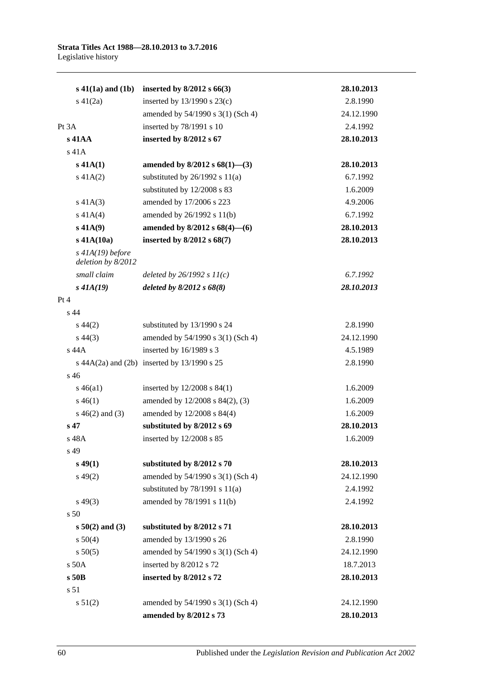| $s\ 41(1a)$ and $(1b)$                   | inserted by $8/2012$ s $66(3)$                      | 28.10.2013 |
|------------------------------------------|-----------------------------------------------------|------------|
| $s\ 41(2a)$                              | inserted by $13/1990$ s $23(c)$                     | 2.8.1990   |
|                                          | amended by 54/1990 s 3(1) (Sch 4)                   | 24.12.1990 |
| Pt 3A                                    | inserted by 78/1991 s 10                            | 2.4.1992   |
| $s$ 41AA                                 | inserted by $8/2012$ s $67$                         | 28.10.2013 |
| $s$ 41 $A$                               |                                                     |            |
| $s$ 41A(1)                               | amended by $8/2012$ s $68(1)$ —(3)                  | 28.10.2013 |
| $s\ 41A(2)$                              | substituted by $26/1992$ s $11(a)$                  | 6.7.1992   |
|                                          | substituted by 12/2008 s 83                         | 1.6.2009   |
| $s\ 41A(3)$                              | amended by 17/2006 s 223                            | 4.9.2006   |
| s $41A(4)$                               | amended by $26/1992$ s $11(b)$                      | 6.7.1992   |
| $s\,41A(9)$                              | amended by 8/2012 s 68(4)-(6)                       | 28.10.2013 |
| $s$ 41A $(10a)$                          | inserted by $8/2012$ s $68(7)$                      | 28.10.2013 |
| $s$ 41A(19) before<br>deletion by 8/2012 |                                                     |            |
| small claim                              | deleted by $26/1992 s 11(c)$                        | 6.7.1992   |
| $s$ 41A(19)                              | deleted by $8/2012$ s $68(8)$                       | 28.10.2013 |
| Pt 4                                     |                                                     |            |
| s 44                                     |                                                     |            |
| $s\,44(2)$                               | substituted by 13/1990 s 24                         | 2.8.1990   |
| $s\,44(3)$                               | amended by 54/1990 s 3(1) (Sch 4)                   | 24.12.1990 |
| s 44A                                    | inserted by 16/1989 s 3                             | 4.5.1989   |
|                                          | s $44A(2a)$ and $(2b)$ inserted by $13/1990$ s $25$ | 2.8.1990   |
| $s\,46$                                  |                                                     |            |
| $s\,46(a1)$                              | inserted by $12/2008$ s $84(1)$                     | 1.6.2009   |
| $s\,46(1)$                               | amended by 12/2008 s 84(2), (3)                     | 1.6.2009   |
| $s\ 46(2)$ and (3)                       | amended by 12/2008 s 84(4)                          | 1.6.2009   |
| $s\,47$                                  | substituted by 8/2012 s 69                          | 28.10.2013 |
| s 48A                                    | inserted by 12/2008 s 85                            | 1.6.2009   |
| s 49                                     |                                                     |            |
| $s\,49(1)$                               | substituted by 8/2012 s 70                          | 28.10.2013 |
| $s\,49(2)$                               | amended by 54/1990 s 3(1) (Sch 4)                   | 24.12.1990 |
|                                          | substituted by $78/1991$ s $11(a)$                  | 2.4.1992   |
| $s\,49(3)$                               | amended by 78/1991 s 11(b)                          | 2.4.1992   |
| s <sub>50</sub>                          |                                                     |            |
| $s\ 50(2)$ and (3)                       | substituted by 8/2012 s 71                          | 28.10.2013 |
| s 50(4)                                  | amended by 13/1990 s 26                             | 2.8.1990   |
| s 50(5)                                  | amended by 54/1990 s 3(1) (Sch 4)                   | 24.12.1990 |
| s 50A                                    | inserted by 8/2012 s 72                             | 18.7.2013  |
| s 50B                                    | inserted by 8/2012 s 72                             | 28.10.2013 |
| s 51                                     |                                                     |            |
| s 51(2)                                  | amended by 54/1990 s 3(1) (Sch 4)                   | 24.12.1990 |
|                                          | amended by 8/2012 s 73                              | 28.10.2013 |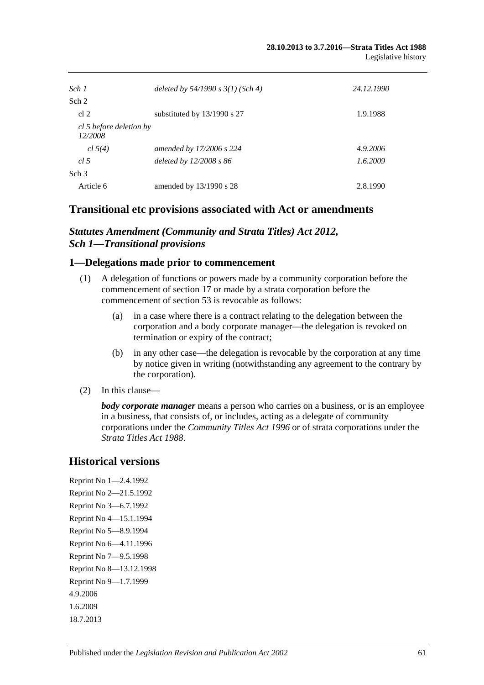| Sch 1                              | deleted by $54/1990 s 3(1)$ (Sch 4) | 24.12.1990 |
|------------------------------------|-------------------------------------|------------|
| Sch <sub>2</sub>                   |                                     |            |
| cl <sub>2</sub>                    | substituted by $13/1990$ s 27       | 1.9.1988   |
| cl 5 before deletion by<br>12/2008 |                                     |            |
| cl 5(4)                            | amended by 17/2006 s 224            | 4.9.2006   |
| cl.5                               | deleted by $12/2008 s 86$           | 1.6.2009   |
| Sch <sub>3</sub>                   |                                     |            |
| Article 6                          | amended by $13/1990$ s 28           | 2.8.1990   |

## **Transitional etc provisions associated with Act or amendments**

### *Statutes Amendment (Community and Strata Titles) Act 2012, Sch 1—Transitional provisions*

### **1—Delegations made prior to commencement**

- (1) A delegation of functions or powers made by a community corporation before the commencement of section 17 or made by a strata corporation before the commencement of section 53 is revocable as follows:
	- (a) in a case where there is a contract relating to the delegation between the corporation and a body corporate manager—the delegation is revoked on termination or expiry of the contract;
	- (b) in any other case—the delegation is revocable by the corporation at any time by notice given in writing (notwithstanding any agreement to the contrary by the corporation).
- (2) In this clause—

*body corporate manager* means a person who carries on a business, or is an employee in a business, that consists of, or includes, acting as a delegate of community corporations under the *[Community Titles Act](http://www.legislation.sa.gov.au/index.aspx?action=legref&type=act&legtitle=Community%20Titles%20Act%201996) 1996* or of strata corporations under the *[Strata Titles Act](http://www.legislation.sa.gov.au/index.aspx?action=legref&type=act&legtitle=Strata%20Titles%20Act%201988) 1988*.

## **Historical versions**

Reprint No 1—2.4.1992 Reprint No 2—21.5.1992 Reprint No 3—6.7.1992 Reprint No 4—15.1.1994 Reprint No 5—8.9.1994 Reprint No 6—4.11.1996 Reprint No 7—9.5.1998 Reprint No 8—13.12.1998 Reprint No 9—1.7.1999 4.9.2006 1.6.2009 18.7.2013